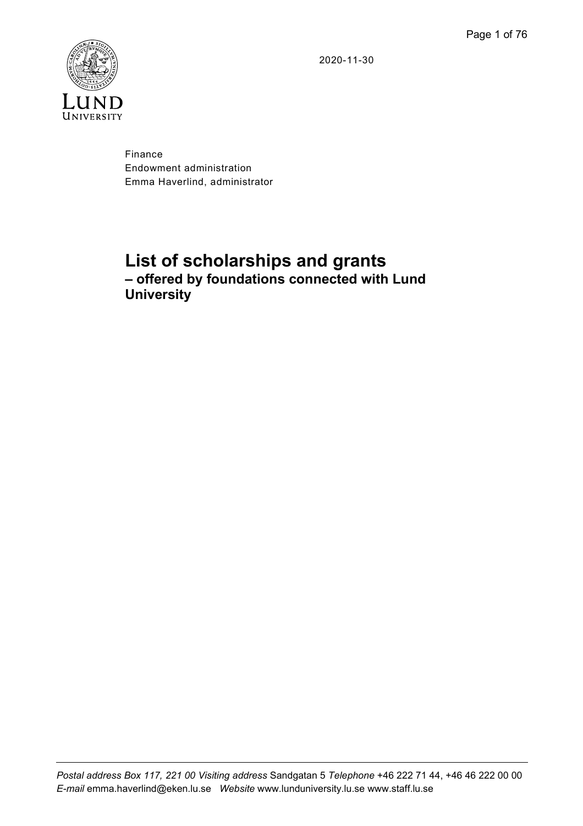2020-11-30



Finance Endowment administration Emma Haverlind, administrator

# **List of scholarships and grants – offered by foundations connected with Lund University**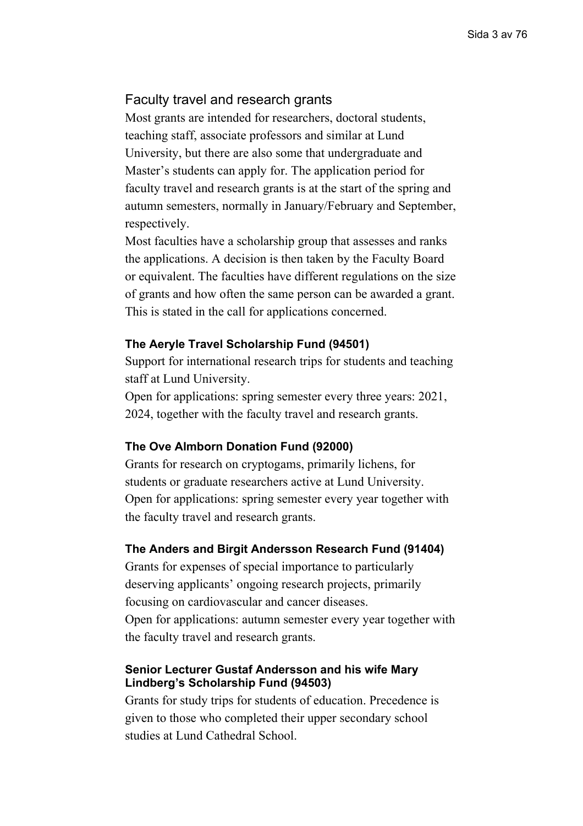## <span id="page-2-0"></span>Faculty travel and research grants

Most grants are intended for researchers, doctoral students, teaching staff, associate professors and similar at Lund University, but there are also some that undergraduate and Master's students can apply for. The application period for faculty travel and research grants is at the start of the spring and autumn semesters, normally in January/February and September, respectively.

Most faculties have a scholarship group that assesses and ranks the applications. A decision is then taken by the Faculty Board or equivalent. The faculties have different regulations on the size of grants and how often the same person can be awarded a grant. This is stated in the call for applications concerned.

#### **The Aeryle Travel Scholarship Fund (94501)**

Support for international research trips for students and teaching staff at Lund University.

Open for applications: spring semester every three years: 2021, 2024, together with the faculty travel and research grants.

#### **The Ove Almborn Donation Fund (92000)**

Grants for research on cryptogams, primarily lichens, for students or graduate researchers active at Lund University. Open for applications: spring semester every year together with the faculty travel and research grants.

#### **The Anders and Birgit Andersson Research Fund (91404)**

Grants for expenses of special importance to particularly deserving applicants' ongoing research projects, primarily focusing on cardiovascular and cancer diseases. Open for applications: autumn semester every year together with the faculty travel and research grants.

### **Senior Lecturer Gustaf Andersson and his wife Mary Lindberg's Scholarship Fund (94503)**

Grants for study trips for students of education. Precedence is given to those who completed their upper secondary school studies at Lund Cathedral School.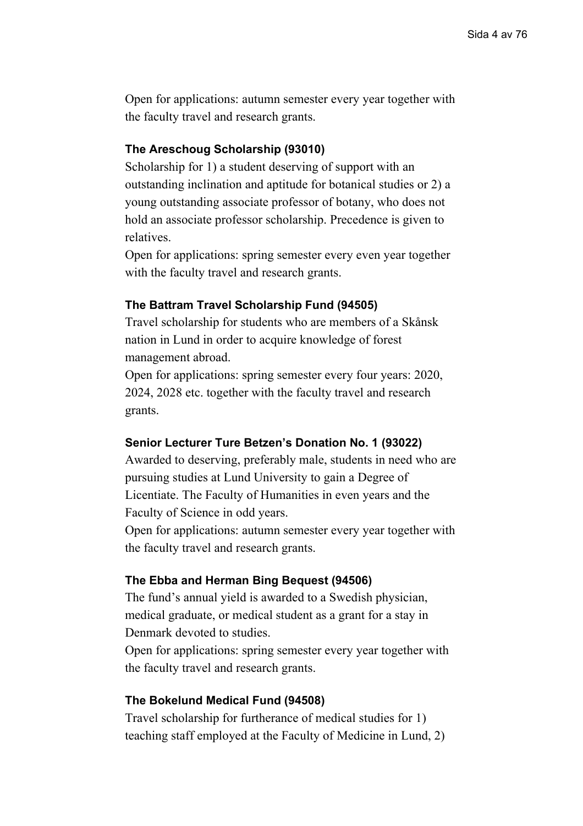Open for applications: autumn semester every year together with the faculty travel and research grants.

## **The Areschoug Scholarship (93010)**

Scholarship for 1) a student deserving of support with an outstanding inclination and aptitude for botanical studies or 2) a young outstanding associate professor of botany, who does not hold an associate professor scholarship. Precedence is given to relatives.

Open for applications: spring semester every even year together with the faculty travel and research grants.

#### **The Battram Travel Scholarship Fund (94505)**

Travel scholarship for students who are members of a Skånsk nation in Lund in order to acquire knowledge of forest management abroad.

Open for applications: spring semester every four years: 2020, 2024, 2028 etc. together with the faculty travel and research grants.

#### **Senior Lecturer Ture Betzen's Donation No. 1 (93022)**

Awarded to deserving, preferably male, students in need who are pursuing studies at Lund University to gain a Degree of Licentiate. The Faculty of Humanities in even years and the Faculty of Science in odd years.

Open for applications: autumn semester every year together with the faculty travel and research grants.

#### **The Ebba and Herman Bing Bequest (94506)**

The fund's annual yield is awarded to a Swedish physician, medical graduate, or medical student as a grant for a stay in Denmark devoted to studies.

Open for applications: spring semester every year together with the faculty travel and research grants.

#### **The Bokelund Medical Fund (94508)**

Travel scholarship for furtherance of medical studies for 1) teaching staff employed at the Faculty of Medicine in Lund, 2)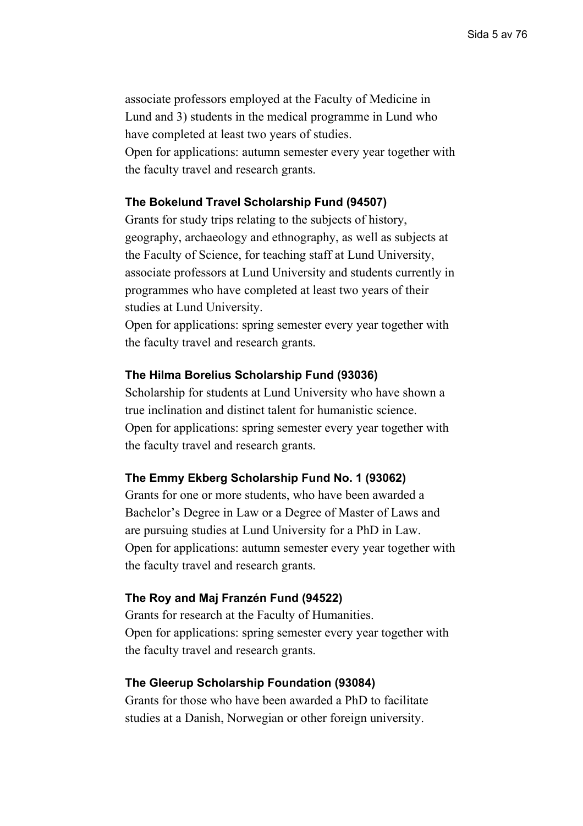associate professors employed at the Faculty of Medicine in Lund and 3) students in the medical programme in Lund who have completed at least two years of studies. Open for applications: autumn semester every year together with the faculty travel and research grants.

### **The Bokelund Travel Scholarship Fund (94507)**

Grants for study trips relating to the subjects of history, geography, archaeology and ethnography, as well as subjects at the Faculty of Science, for teaching staff at Lund University, associate professors at Lund University and students currently in programmes who have completed at least two years of their studies at Lund University.

Open for applications: spring semester every year together with the faculty travel and research grants.

#### **The Hilma Borelius Scholarship Fund (93036)**

Scholarship for students at Lund University who have shown a true inclination and distinct talent for humanistic science. Open for applications: spring semester every year together with the faculty travel and research grants.

### **The Emmy Ekberg Scholarship Fund No. 1 (93062)**

Grants for one or more students, who have been awarded a Bachelor's Degree in Law or a Degree of Master of Laws and are pursuing studies at Lund University for a PhD in Law. Open for applications: autumn semester every year together with the faculty travel and research grants.

#### **The Roy and Maj Franzén Fund (94522)**

Grants for research at the Faculty of Humanities. Open for applications: spring semester every year together with the faculty travel and research grants.

#### **The Gleerup Scholarship Foundation (93084)**

Grants for those who have been awarded a PhD to facilitate studies at a Danish, Norwegian or other foreign university.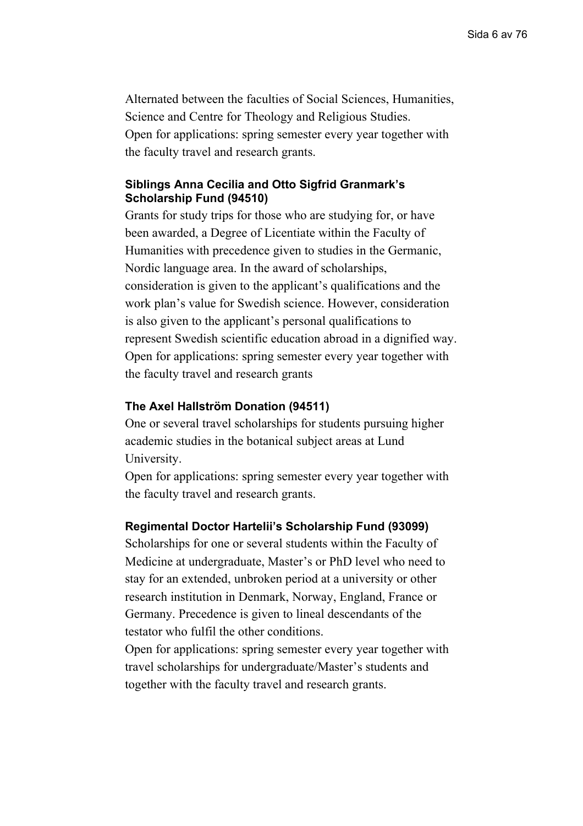Alternated between the faculties of Social Sciences, Humanities, Science and Centre for Theology and Religious Studies. Open for applications: spring semester every year together with the faculty travel and research grants.

### **Siblings Anna Cecilia and Otto Sigfrid Granmark's Scholarship Fund (94510)**

Grants for study trips for those who are studying for, or have been awarded, a Degree of Licentiate within the Faculty of Humanities with precedence given to studies in the Germanic, Nordic language area. In the award of scholarships, consideration is given to the applicant's qualifications and the work plan's value for Swedish science. However, consideration is also given to the applicant's personal qualifications to represent Swedish scientific education abroad in a dignified way. Open for applications: spring semester every year together with the faculty travel and research grants

### **The Axel Hallström Donation (94511)**

One or several travel scholarships for students pursuing higher academic studies in the botanical subject areas at Lund University.

Open for applications: spring semester every year together with the faculty travel and research grants.

#### **Regimental Doctor Hartelii's Scholarship Fund (93099)**

Scholarships for one or several students within the Faculty of Medicine at undergraduate, Master's or PhD level who need to stay for an extended, unbroken period at a university or other research institution in Denmark, Norway, England, France or Germany. Precedence is given to lineal descendants of the testator who fulfil the other conditions.

Open for applications: spring semester every year together with travel scholarships for undergraduate/Master's students and together with the faculty travel and research grants.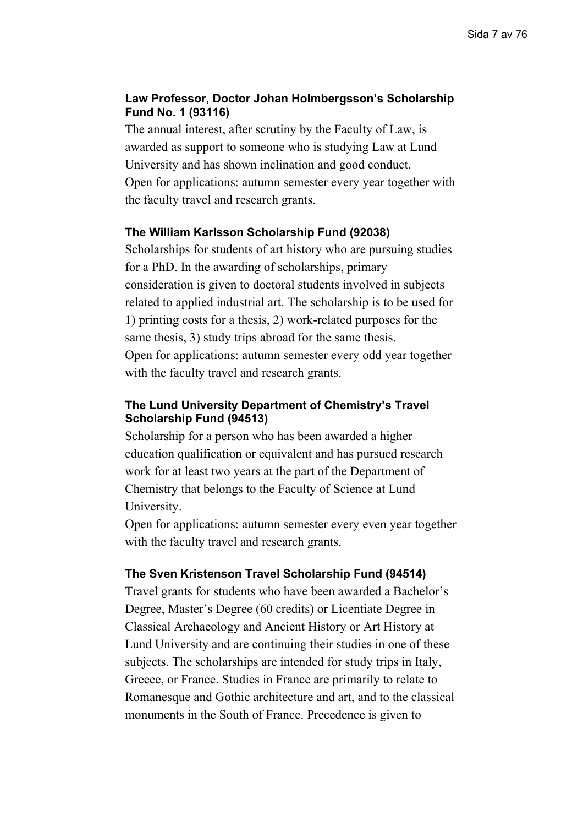## **Law Professor, Doctor Johan Holmbergsson's Scholarship Fund No. 1 (93116)**

The annual interest, after scrutiny by the Faculty of Law, is awarded as support to someone who is studying Law at Lund University and has shown inclination and good conduct. Open for applications: autumn semester every year together with the faculty travel and research grants.

## **The William Karlsson Scholarship Fund (92038)**

Scholarships for students of art history who are pursuing studies for a PhD. In the awarding of scholarships, primary consideration is given to doctoral students involved in subjects related to applied industrial art. The scholarship is to be used for 1) printing costs for a thesis, 2) work-related purposes for the same thesis, 3) study trips abroad for the same thesis. Open for applications: autumn semester every odd year together with the faculty travel and research grants.

## **The Lund University Department of Chemistry's Travel Scholarship Fund (94513)**

Scholarship for a person who has been awarded a higher education qualification or equivalent and has pursued research work for at least two years at the part of the Department of Chemistry that belongs to the Faculty of Science at Lund University.

Open for applications: autumn semester every even year together with the faculty travel and research grants.

### **The Sven Kristenson Travel Scholarship Fund (94514)**

Travel grants for students who have been awarded a Bachelor's Degree, Master's Degree (60 credits) or Licentiate Degree in Classical Archaeology and Ancient History or Art History at Lund University and are continuing their studies in one of these subjects. The scholarships are intended for study trips in Italy, Greece, or France. Studies in France are primarily to relate to Romanesque and Gothic architecture and art, and to the classical monuments in the South of France. Precedence is given to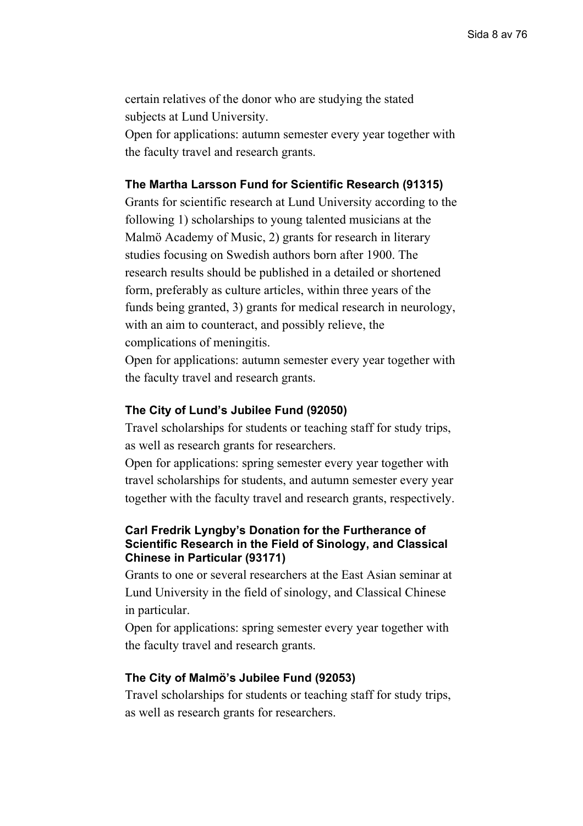certain relatives of the donor who are studying the stated subjects at Lund University.

Open for applications: autumn semester every year together with the faculty travel and research grants.

#### **The Martha Larsson Fund for Scientific Research (91315)**

Grants for scientific research at Lund University according to the following 1) scholarships to young talented musicians at the Malmö Academy of Music, 2) grants for research in literary studies focusing on Swedish authors born after 1900. The research results should be published in a detailed or shortened form, preferably as culture articles, within three years of the funds being granted, 3) grants for medical research in neurology, with an aim to counteract, and possibly relieve, the complications of meningitis.

Open for applications: autumn semester every year together with the faculty travel and research grants.

#### **The City of Lund's Jubilee Fund (92050)**

Travel scholarships for students or teaching staff for study trips, as well as research grants for researchers.

Open for applications: spring semester every year together with travel scholarships for students, and autumn semester every year together with the faculty travel and research grants, respectively.

## **Carl Fredrik Lyngby's Donation for the Furtherance of Scientific Research in the Field of Sinology, and Classical Chinese in Particular (93171)**

Grants to one or several researchers at the East Asian seminar at Lund University in the field of sinology, and Classical Chinese in particular.

Open for applications: spring semester every year together with the faculty travel and research grants.

#### **The City of Malmö's Jubilee Fund (92053)**

Travel scholarships for students or teaching staff for study trips, as well as research grants for researchers.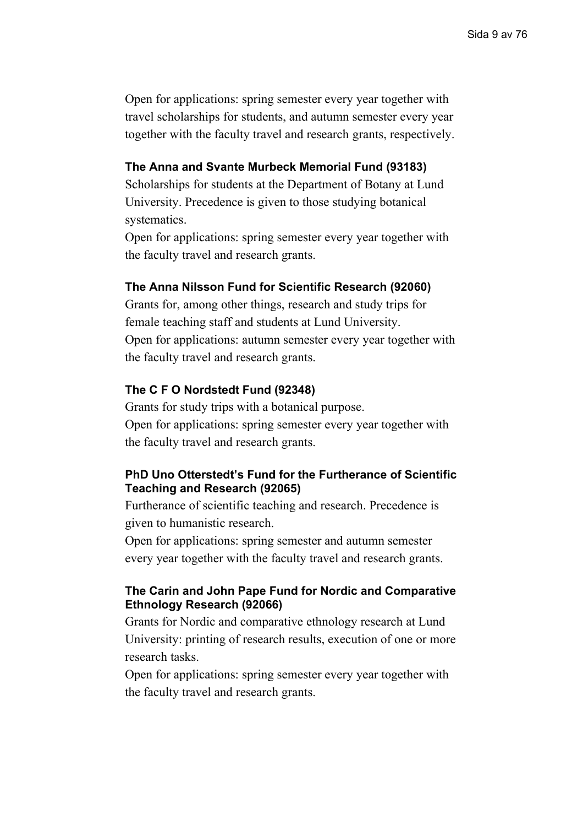Open for applications: spring semester every year together with travel scholarships for students, and autumn semester every year together with the faculty travel and research grants, respectively.

#### **The Anna and Svante Murbeck Memorial Fund (93183)**

Scholarships for students at the Department of Botany at Lund University. Precedence is given to those studying botanical systematics.

Open for applications: spring semester every year together with the faculty travel and research grants.

#### **The Anna Nilsson Fund for Scientific Research (92060)**

Grants for, among other things, research and study trips for female teaching staff and students at Lund University. Open for applications: autumn semester every year together with the faculty travel and research grants.

### **The C F O Nordstedt Fund (92348)**

Grants for study trips with a botanical purpose. Open for applications: spring semester every year together with the faculty travel and research grants.

## **PhD Uno Otterstedt's Fund for the Furtherance of Scientific Teaching and Research (92065)**

Furtherance of scientific teaching and research. Precedence is given to humanistic research.

Open for applications: spring semester and autumn semester every year together with the faculty travel and research grants.

## **The Carin and John Pape Fund for Nordic and Comparative Ethnology Research (92066)**

Grants for Nordic and comparative ethnology research at Lund University: printing of research results, execution of one or more research tasks.

Open for applications: spring semester every year together with the faculty travel and research grants.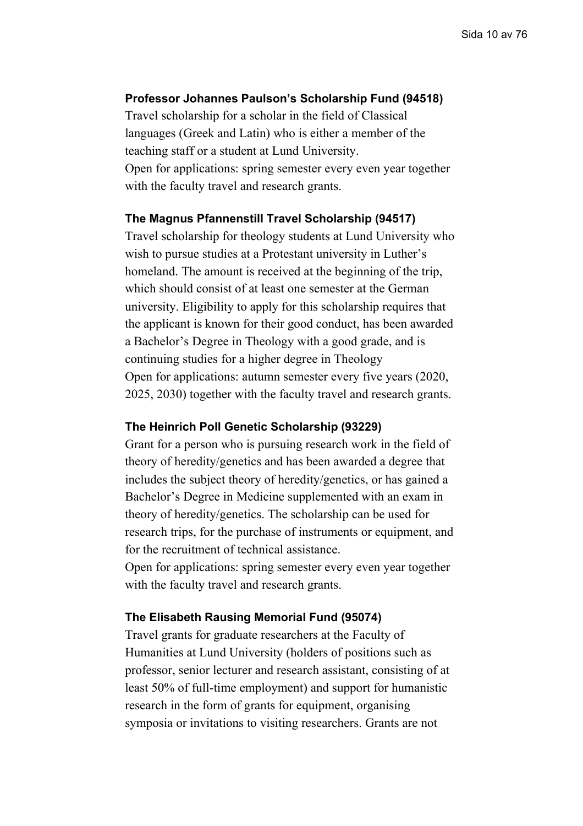#### **Professor Johannes Paulson's Scholarship Fund (94518)**

Travel scholarship for a scholar in the field of Classical languages (Greek and Latin) who is either a member of the teaching staff or a student at Lund University. Open for applications: spring semester every even year together with the faculty travel and research grants.

#### **The Magnus Pfannenstill Travel Scholarship (94517)**

Travel scholarship for theology students at Lund University who wish to pursue studies at a Protestant university in Luther's homeland. The amount is received at the beginning of the trip, which should consist of at least one semester at the German university. Eligibility to apply for this scholarship requires that the applicant is known for their good conduct, has been awarded a Bachelor's Degree in Theology with a good grade, and is continuing studies for a higher degree in Theology Open for applications: autumn semester every five years (2020, 2025, 2030) together with the faculty travel and research grants.

### **The Heinrich Poll Genetic Scholarship (93229)**

Grant for a person who is pursuing research work in the field of theory of heredity/genetics and has been awarded a degree that includes the subject theory of heredity/genetics, or has gained a Bachelor's Degree in Medicine supplemented with an exam in theory of heredity/genetics. The scholarship can be used for research trips, for the purchase of instruments or equipment, and for the recruitment of technical assistance.

Open for applications: spring semester every even year together with the faculty travel and research grants.

#### **The Elisabeth Rausing Memorial Fund (95074)**

Travel grants for graduate researchers at the Faculty of Humanities at Lund University (holders of positions such as professor, senior lecturer and research assistant, consisting of at least 50% of full-time employment) and support for humanistic research in the form of grants for equipment, organising symposia or invitations to visiting researchers. Grants are not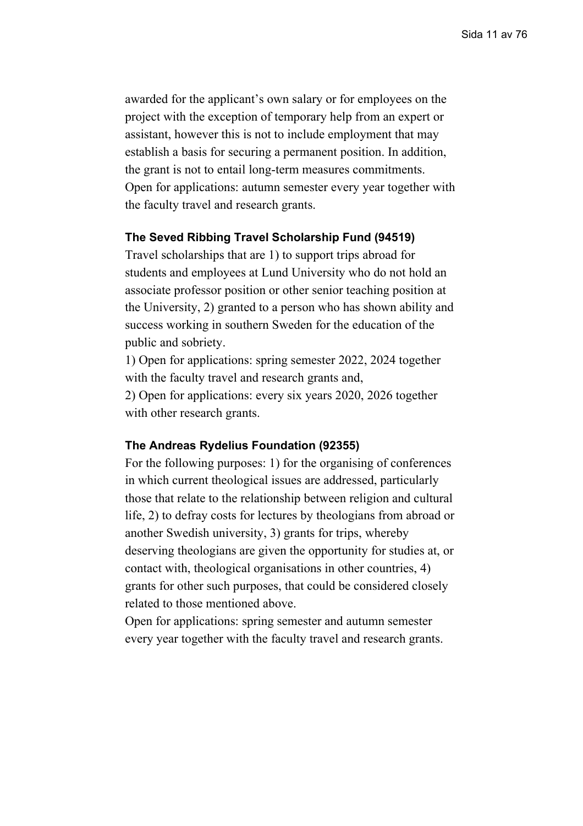awarded for the applicant's own salary or for employees on the project with the exception of temporary help from an expert or assistant, however this is not to include employment that may establish a basis for securing a permanent position. In addition, the grant is not to entail long-term measures commitments. Open for applications: autumn semester every year together with the faculty travel and research grants.

#### **The Seved Ribbing Travel Scholarship Fund (94519)**

Travel scholarships that are 1) to support trips abroad for students and employees at Lund University who do not hold an associate professor position or other senior teaching position at the University, 2) granted to a person who has shown ability and success working in southern Sweden for the education of the public and sobriety.

1) Open for applications: spring semester 2022, 2024 together with the faculty travel and research grants and, 2) Open for applications: every six years 2020, 2026 together

with other research grants.

### **The Andreas Rydelius Foundation (92355)**

For the following purposes: 1) for the organising of conferences in which current theological issues are addressed, particularly those that relate to the relationship between religion and cultural life, 2) to defray costs for lectures by theologians from abroad or another Swedish university, 3) grants for trips, whereby deserving theologians are given the opportunity for studies at, or contact with, theological organisations in other countries, 4) grants for other such purposes, that could be considered closely related to those mentioned above.

Open for applications: spring semester and autumn semester every year together with the faculty travel and research grants.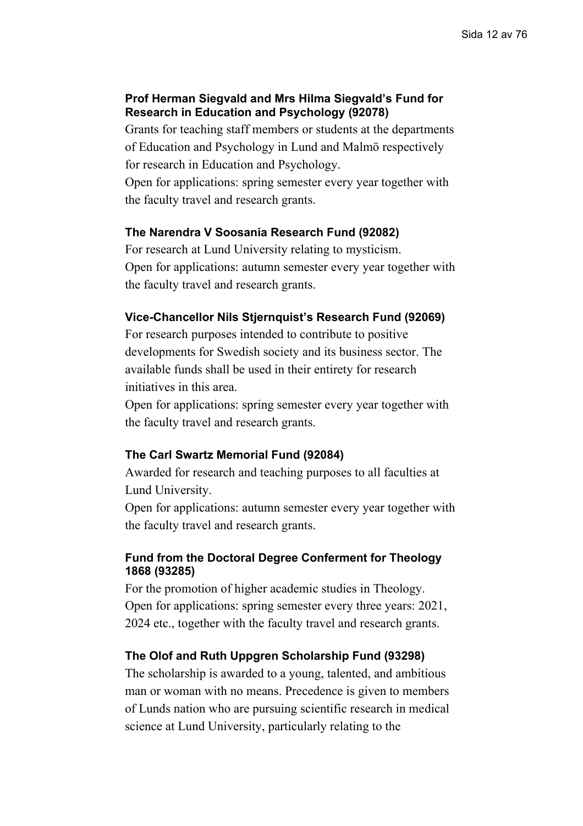## **Prof Herman Siegvald and Mrs Hilma Siegvald's Fund for Research in Education and Psychology (92078)**

Grants for teaching staff members or students at the departments of Education and Psychology in Lund and Malmö respectively for research in Education and Psychology.

Open for applications: spring semester every year together with the faculty travel and research grants.

## **The Narendra V Soosania Research Fund (92082)**

For research at Lund University relating to mysticism. Open for applications: autumn semester every year together with the faculty travel and research grants.

## **Vice-Chancellor Nils Stjernquist's Research Fund (92069)**

For research purposes intended to contribute to positive developments for Swedish society and its business sector. The available funds shall be used in their entirety for research initiatives in this area.

Open for applications: spring semester every year together with the faculty travel and research grants.

## **The Carl Swartz Memorial Fund (92084)**

Awarded for research and teaching purposes to all faculties at Lund University.

Open for applications: autumn semester every year together with the faculty travel and research grants.

## **Fund from the Doctoral Degree Conferment for Theology 1868 (93285)**

For the promotion of higher academic studies in Theology. Open for applications: spring semester every three years: 2021, 2024 etc., together with the faculty travel and research grants.

## **The Olof and Ruth Uppgren Scholarship Fund (93298)**

The scholarship is awarded to a young, talented, and ambitious man or woman with no means. Precedence is given to members of Lunds nation who are pursuing scientific research in medical science at Lund University, particularly relating to the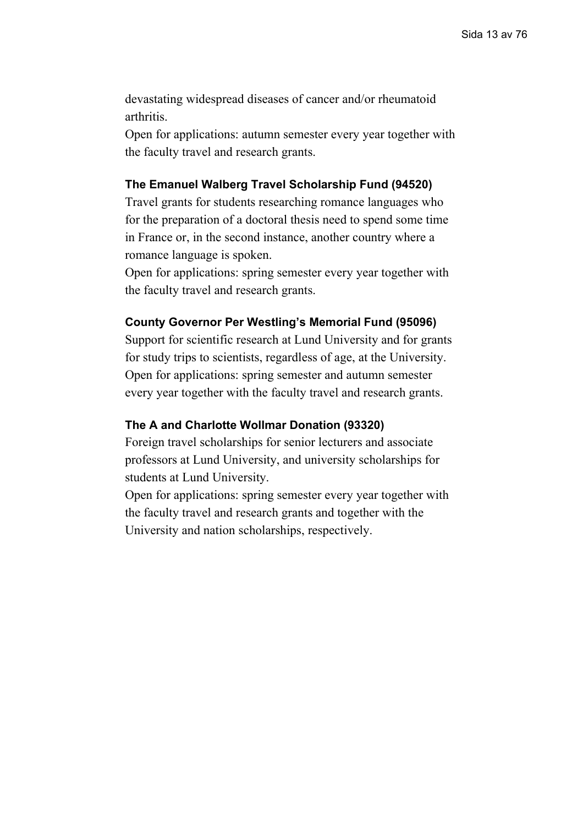devastating widespread diseases of cancer and/or rheumatoid arthritis.

Open for applications: autumn semester every year together with the faculty travel and research grants.

## **The Emanuel Walberg Travel Scholarship Fund (94520)**

Travel grants for students researching romance languages who for the preparation of a doctoral thesis need to spend some time in France or, in the second instance, another country where a romance language is spoken.

Open for applications: spring semester every year together with the faculty travel and research grants.

## **County Governor Per Westling's Memorial Fund (95096)**

Support for scientific research at Lund University and for grants for study trips to scientists, regardless of age, at the University. Open for applications: spring semester and autumn semester every year together with the faculty travel and research grants.

## **The A and Charlotte Wollmar Donation (93320)**

Foreign travel scholarships for senior lecturers and associate professors at Lund University, and university scholarships for students at Lund University.

Open for applications: spring semester every year together with the faculty travel and research grants and together with the University and nation scholarships, respectively.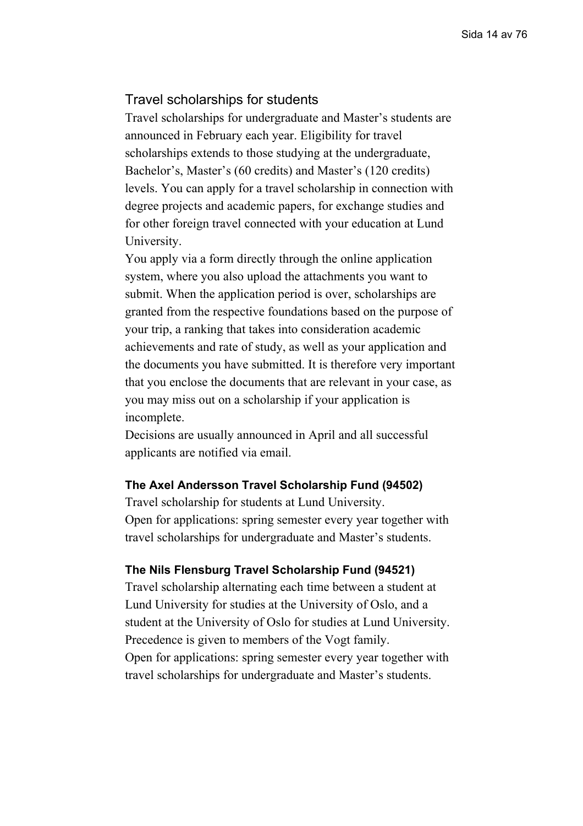## <span id="page-13-0"></span>Travel scholarships for students

Travel scholarships for undergraduate and Master's students are announced in February each year. Eligibility for travel scholarships extends to those studying at the undergraduate, Bachelor's, Master's (60 credits) and Master's (120 credits) levels. You can apply for a travel scholarship in connection with degree projects and academic papers, for exchange studies and for other foreign travel connected with your education at Lund University.

You apply via a form directly through the online application system, where you also upload the attachments you want to submit. When the application period is over, scholarships are granted from the respective foundations based on the purpose of your trip, a ranking that takes into consideration academic achievements and rate of study, as well as your application and the documents you have submitted. It is therefore very important that you enclose the documents that are relevant in your case, as you may miss out on a scholarship if your application is incomplete.

Decisions are usually announced in April and all successful applicants are notified via email.

#### **The Axel Andersson Travel Scholarship Fund (94502)**

Travel scholarship for students at Lund University. Open for applications: spring semester every year together with travel scholarships for undergraduate and Master's students.

#### **The Nils Flensburg Travel Scholarship Fund (94521)**

Travel scholarship alternating each time between a student at Lund University for studies at the University of Oslo, and a student at the University of Oslo for studies at Lund University. Precedence is given to members of the Vogt family. Open for applications: spring semester every year together with travel scholarships for undergraduate and Master's students.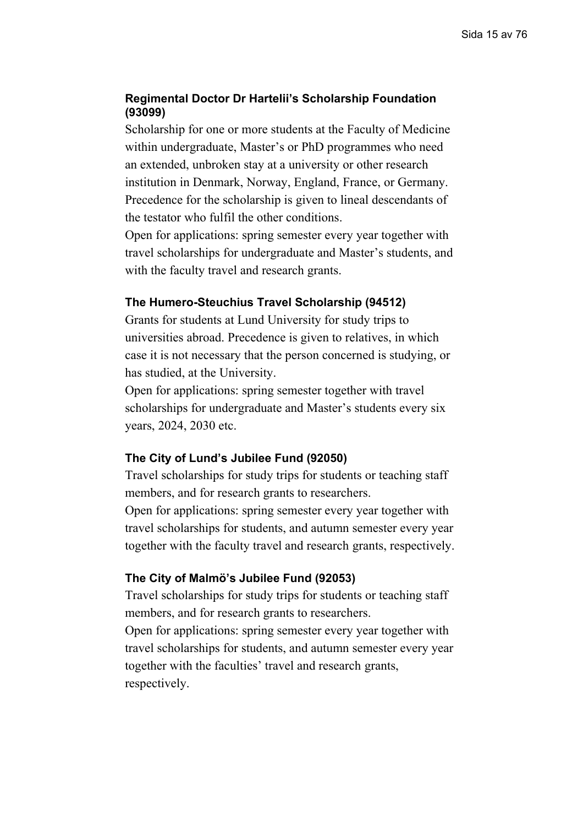## **Regimental Doctor Dr Hartelii's Scholarship Foundation (93099)**

Scholarship for one or more students at the Faculty of Medicine within undergraduate, Master's or PhD programmes who need an extended, unbroken stay at a university or other research institution in Denmark, Norway, England, France, or Germany. Precedence for the scholarship is given to lineal descendants of the testator who fulfil the other conditions.

Open for applications: spring semester every year together with travel scholarships for undergraduate and Master's students, and with the faculty travel and research grants.

#### **The Humero-Steuchius Travel Scholarship (94512)**

Grants for students at Lund University for study trips to universities abroad. Precedence is given to relatives, in which case it is not necessary that the person concerned is studying, or has studied, at the University.

Open for applications: spring semester together with travel scholarships for undergraduate and Master's students every six years, 2024, 2030 etc.

### **The City of Lund's Jubilee Fund (92050)**

Travel scholarships for study trips for students or teaching staff members, and for research grants to researchers.

Open for applications: spring semester every year together with travel scholarships for students, and autumn semester every year together with the faculty travel and research grants, respectively.

## **The City of Malmö's Jubilee Fund (92053)**

Travel scholarships for study trips for students or teaching staff members, and for research grants to researchers.

Open for applications: spring semester every year together with travel scholarships for students, and autumn semester every year together with the faculties' travel and research grants, respectively.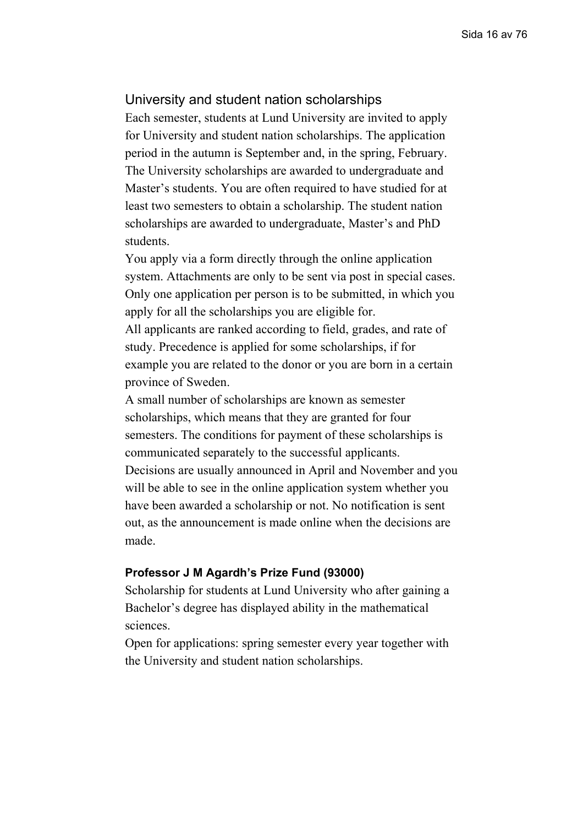## <span id="page-15-0"></span>University and student nation scholarships

Each semester, students at Lund University are invited to apply for University and student nation scholarships. The application period in the autumn is September and, in the spring, February. The University scholarships are awarded to undergraduate and Master's students. You are often required to have studied for at least two semesters to obtain a scholarship. The student nation scholarships are awarded to undergraduate, Master's and PhD students.

You apply via a form directly through the online application system. Attachments are only to be sent via post in special cases. Only one application per person is to be submitted, in which you apply for all the scholarships you are eligible for.

All applicants are ranked according to field, grades, and rate of study. Precedence is applied for some scholarships, if for example you are related to the donor or you are born in a certain province of Sweden.

A small number of scholarships are known as semester scholarships, which means that they are granted for four semesters. The conditions for payment of these scholarships is communicated separately to the successful applicants. Decisions are usually announced in April and November and you will be able to see in the online application system whether you have been awarded a scholarship or not. No notification is sent out, as the announcement is made online when the decisions are made.

#### **Professor J M Agardh's Prize Fund (93000)**

Scholarship for students at Lund University who after gaining a Bachelor's degree has displayed ability in the mathematical sciences.

Open for applications: spring semester every year together with the University and student nation scholarships.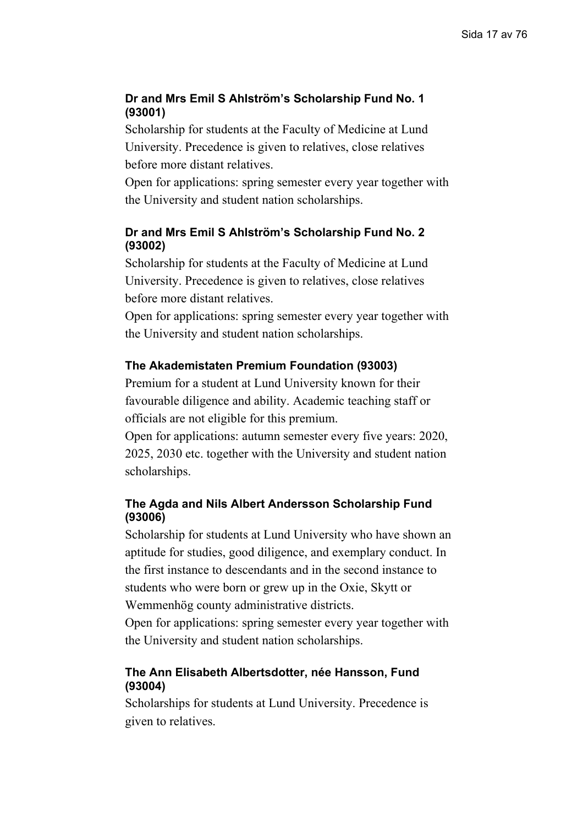## **Dr and Mrs Emil S Ahlström's Scholarship Fund No. 1 (93001)**

Scholarship for students at the Faculty of Medicine at Lund University. Precedence is given to relatives, close relatives before more distant relatives.

Open for applications: spring semester every year together with the University and student nation scholarships.

## **Dr and Mrs Emil S Ahlström's Scholarship Fund No. 2 (93002)**

Scholarship for students at the Faculty of Medicine at Lund University. Precedence is given to relatives, close relatives before more distant relatives.

Open for applications: spring semester every year together with the University and student nation scholarships.

## **The Akademistaten Premium Foundation (93003)**

Premium for a student at Lund University known for their favourable diligence and ability. Academic teaching staff or officials are not eligible for this premium.

Open for applications: autumn semester every five years: 2020, 2025, 2030 etc. together with the University and student nation scholarships.

## **The Agda and Nils Albert Andersson Scholarship Fund (93006)**

Scholarship for students at Lund University who have shown an aptitude for studies, good diligence, and exemplary conduct. In the first instance to descendants and in the second instance to students who were born or grew up in the Oxie, Skytt or Wemmenhög county administrative districts.

Open for applications: spring semester every year together with the University and student nation scholarships.

## **The Ann Elisabeth Albertsdotter, née Hansson, Fund (93004)**

Scholarships for students at Lund University. Precedence is given to relatives.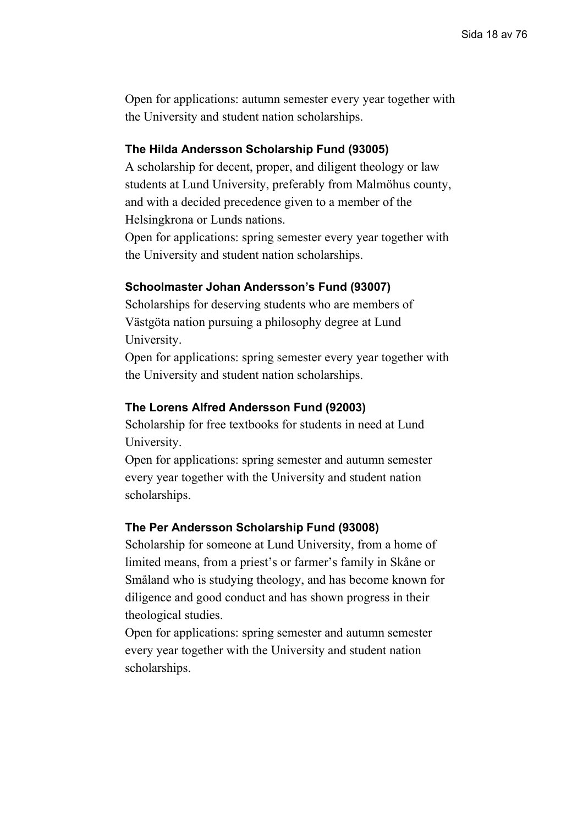Open for applications: autumn semester every year together with the University and student nation scholarships.

## **The Hilda Andersson Scholarship Fund (93005)**

A scholarship for decent, proper, and diligent theology or law students at Lund University, preferably from Malmöhus county, and with a decided precedence given to a member of the Helsingkrona or Lunds nations.

Open for applications: spring semester every year together with the University and student nation scholarships.

## **Schoolmaster Johan Andersson's Fund (93007)**

Scholarships for deserving students who are members of Västgöta nation pursuing a philosophy degree at Lund University.

Open for applications: spring semester every year together with the University and student nation scholarships.

## **The Lorens Alfred Andersson Fund (92003)**

Scholarship for free textbooks for students in need at Lund University.

Open for applications: spring semester and autumn semester every year together with the University and student nation scholarships.

### **The Per Andersson Scholarship Fund (93008)**

Scholarship for someone at Lund University, from a home of limited means, from a priest's or farmer's family in Skåne or Småland who is studying theology, and has become known for diligence and good conduct and has shown progress in their theological studies.

Open for applications: spring semester and autumn semester every year together with the University and student nation scholarships.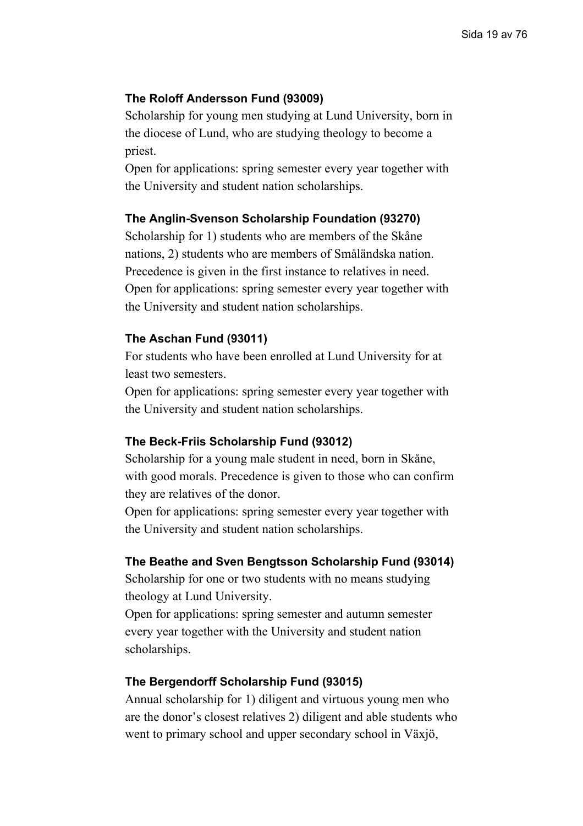## **The Roloff Andersson Fund (93009)**

Scholarship for young men studying at Lund University, born in the diocese of Lund, who are studying theology to become a priest.

Open for applications: spring semester every year together with the University and student nation scholarships.

## **The Anglin-Svenson Scholarship Foundation (93270)**

Scholarship for 1) students who are members of the Skåne nations, 2) students who are members of Småländska nation. Precedence is given in the first instance to relatives in need. Open for applications: spring semester every year together with the University and student nation scholarships.

## **The Aschan Fund (93011)**

For students who have been enrolled at Lund University for at least two semesters.

Open for applications: spring semester every year together with the University and student nation scholarships.

## **The Beck-Friis Scholarship Fund (93012)**

Scholarship for a young male student in need, born in Skåne, with good morals. Precedence is given to those who can confirm they are relatives of the donor.

Open for applications: spring semester every year together with the University and student nation scholarships.

#### **The Beathe and Sven Bengtsson Scholarship Fund (93014)**

Scholarship for one or two students with no means studying theology at Lund University.

Open for applications: spring semester and autumn semester every year together with the University and student nation scholarships.

## **The Bergendorff Scholarship Fund (93015)**

Annual scholarship for 1) diligent and virtuous young men who are the donor's closest relatives 2) diligent and able students who went to primary school and upper secondary school in Växjö,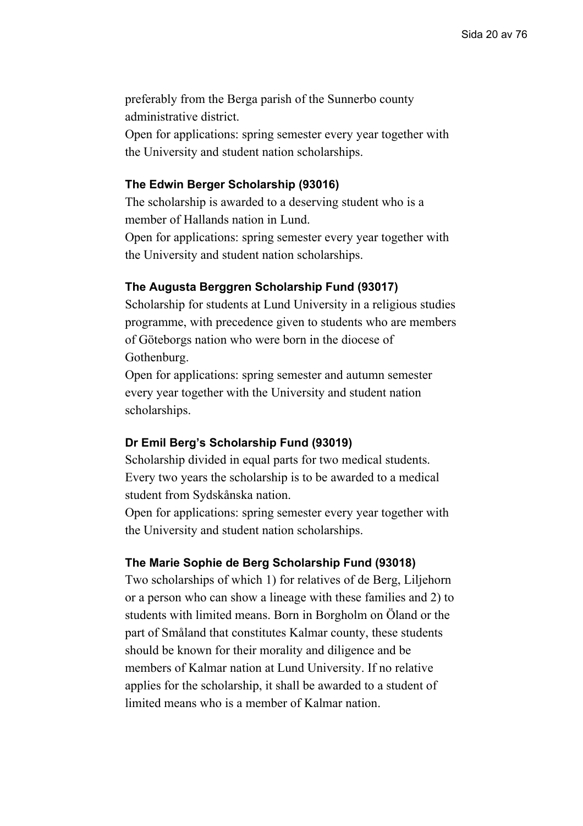preferably from the Berga parish of the Sunnerbo county administrative district.

Open for applications: spring semester every year together with the University and student nation scholarships.

#### **The Edwin Berger Scholarship (93016)**

The scholarship is awarded to a deserving student who is a member of Hallands nation in Lund.

Open for applications: spring semester every year together with the University and student nation scholarships.

## **The Augusta Berggren Scholarship Fund (93017)**

Scholarship for students at Lund University in a religious studies programme, with precedence given to students who are members of Göteborgs nation who were born in the diocese of Gothenburg.

Open for applications: spring semester and autumn semester every year together with the University and student nation scholarships.

### **Dr Emil Berg's Scholarship Fund (93019)**

Scholarship divided in equal parts for two medical students. Every two years the scholarship is to be awarded to a medical student from Sydskånska nation.

Open for applications: spring semester every year together with the University and student nation scholarships.

### **The Marie Sophie de Berg Scholarship Fund (93018)**

Two scholarships of which 1) for relatives of de Berg, Liljehorn or a person who can show a lineage with these families and 2) to students with limited means. Born in Borgholm on Öland or the part of Småland that constitutes Kalmar county, these students should be known for their morality and diligence and be members of Kalmar nation at Lund University. If no relative applies for the scholarship, it shall be awarded to a student of limited means who is a member of Kalmar nation.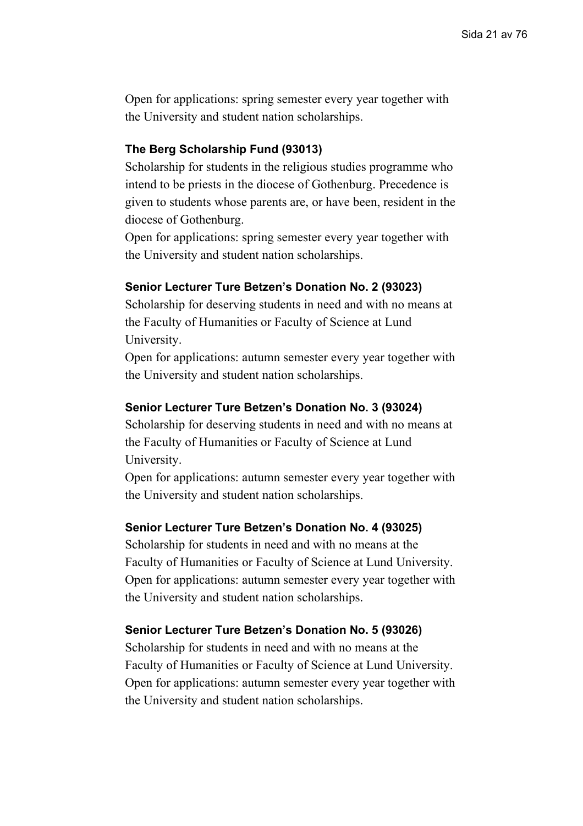Open for applications: spring semester every year together with the University and student nation scholarships.

## **The Berg Scholarship Fund (93013)**

Scholarship for students in the religious studies programme who intend to be priests in the diocese of Gothenburg. Precedence is given to students whose parents are, or have been, resident in the diocese of Gothenburg.

Open for applications: spring semester every year together with the University and student nation scholarships.

## **Senior Lecturer Ture Betzen's Donation No. 2 (93023)**

Scholarship for deserving students in need and with no means at the Faculty of Humanities or Faculty of Science at Lund University.

Open for applications: autumn semester every year together with the University and student nation scholarships.

### **Senior Lecturer Ture Betzen's Donation No. 3 (93024)**

Scholarship for deserving students in need and with no means at the Faculty of Humanities or Faculty of Science at Lund University.

Open for applications: autumn semester every year together with the University and student nation scholarships.

### **Senior Lecturer Ture Betzen's Donation No. 4 (93025)**

Scholarship for students in need and with no means at the Faculty of Humanities or Faculty of Science at Lund University. Open for applications: autumn semester every year together with the University and student nation scholarships.

### **Senior Lecturer Ture Betzen's Donation No. 5 (93026)**

Scholarship for students in need and with no means at the Faculty of Humanities or Faculty of Science at Lund University. Open for applications: autumn semester every year together with the University and student nation scholarships.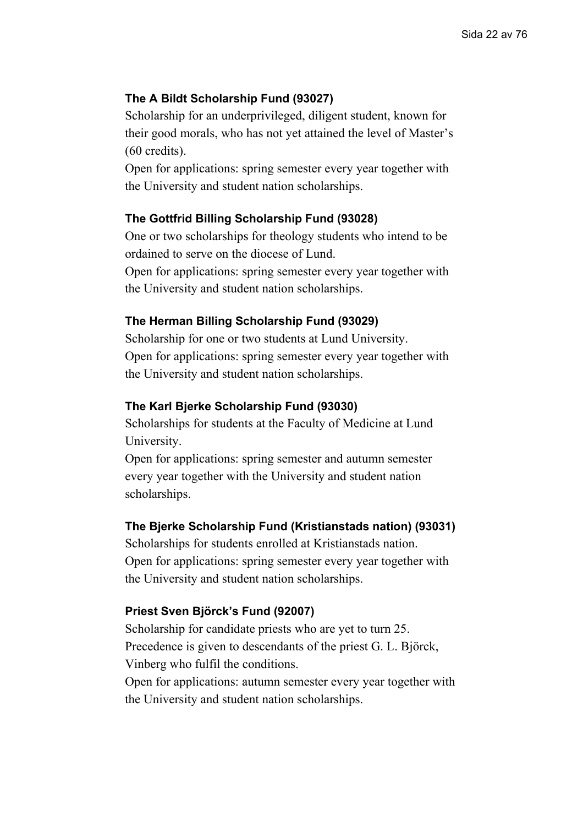## **The A Bildt Scholarship Fund (93027)**

Scholarship for an underprivileged, diligent student, known for their good morals, who has not yet attained the level of Master's (60 credits).

Open for applications: spring semester every year together with the University and student nation scholarships.

### **The Gottfrid Billing Scholarship Fund (93028)**

One or two scholarships for theology students who intend to be ordained to serve on the diocese of Lund.

Open for applications: spring semester every year together with the University and student nation scholarships.

#### **The Herman Billing Scholarship Fund (93029)**

Scholarship for one or two students at Lund University. Open for applications: spring semester every year together with the University and student nation scholarships.

#### **The Karl Bjerke Scholarship Fund (93030)**

Scholarships for students at the Faculty of Medicine at Lund University.

Open for applications: spring semester and autumn semester every year together with the University and student nation scholarships.

#### **The Bjerke Scholarship Fund (Kristianstads nation) (93031)**

Scholarships for students enrolled at Kristianstads nation. Open for applications: spring semester every year together with the University and student nation scholarships.

#### **Priest Sven Björck's Fund (92007)**

Scholarship for candidate priests who are yet to turn 25. Precedence is given to descendants of the priest G. L. Björck, Vinberg who fulfil the conditions.

Open for applications: autumn semester every year together with the University and student nation scholarships.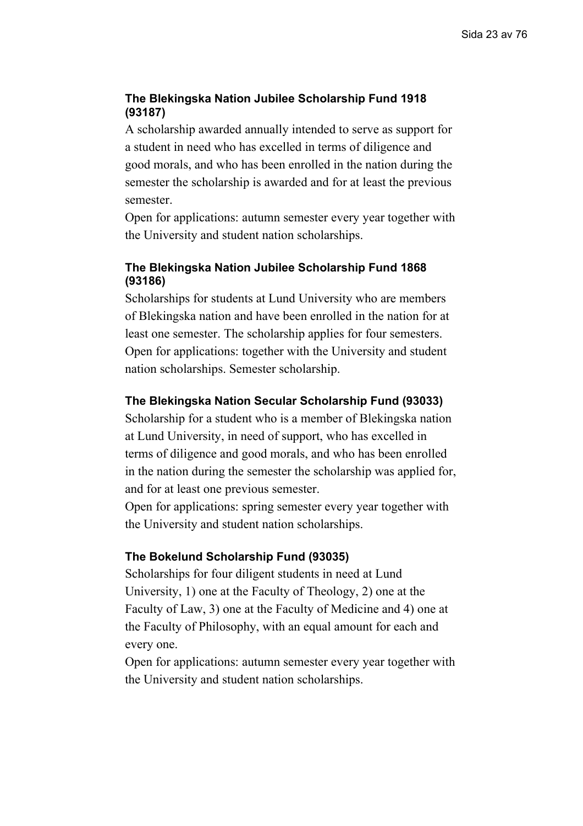## **The Blekingska Nation Jubilee Scholarship Fund 1918 (93187)**

A scholarship awarded annually intended to serve as support for a student in need who has excelled in terms of diligence and good morals, and who has been enrolled in the nation during the semester the scholarship is awarded and for at least the previous semester.

Open for applications: autumn semester every year together with the University and student nation scholarships.

## **The Blekingska Nation Jubilee Scholarship Fund 1868 (93186)**

Scholarships for students at Lund University who are members of Blekingska nation and have been enrolled in the nation for at least one semester. The scholarship applies for four semesters. Open for applications: together with the University and student nation scholarships. Semester scholarship.

## **The Blekingska Nation Secular Scholarship Fund (93033)**

Scholarship for a student who is a member of Blekingska nation at Lund University, in need of support, who has excelled in terms of diligence and good morals, and who has been enrolled in the nation during the semester the scholarship was applied for, and for at least one previous semester.

Open for applications: spring semester every year together with the University and student nation scholarships.

## **The Bokelund Scholarship Fund (93035)**

Scholarships for four diligent students in need at Lund University, 1) one at the Faculty of Theology, 2) one at the Faculty of Law, 3) one at the Faculty of Medicine and 4) one at the Faculty of Philosophy, with an equal amount for each and every one.

Open for applications: autumn semester every year together with the University and student nation scholarships.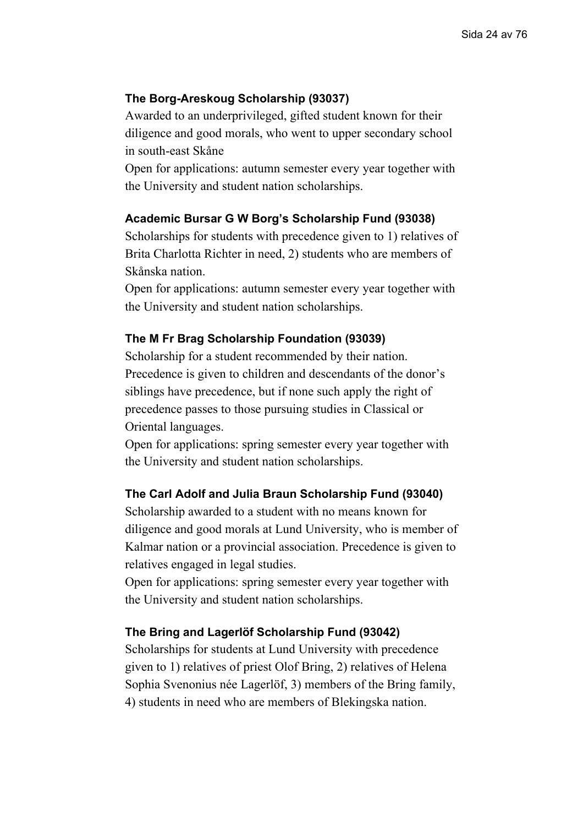## **The Borg-Areskoug Scholarship (93037)**

Awarded to an underprivileged, gifted student known for their diligence and good morals, who went to upper secondary school in south-east Skåne

Open for applications: autumn semester every year together with the University and student nation scholarships.

## **Academic Bursar G W Borg's Scholarship Fund (93038)**

Scholarships for students with precedence given to 1) relatives of Brita Charlotta Richter in need, 2) students who are members of Skånska nation.

Open for applications: autumn semester every year together with the University and student nation scholarships.

## **The M Fr Brag Scholarship Foundation (93039)**

Scholarship for a student recommended by their nation. Precedence is given to children and descendants of the donor's siblings have precedence, but if none such apply the right of precedence passes to those pursuing studies in Classical or Oriental languages.

Open for applications: spring semester every year together with the University and student nation scholarships.

## **The Carl Adolf and Julia Braun Scholarship Fund (93040)**

Scholarship awarded to a student with no means known for diligence and good morals at Lund University, who is member of Kalmar nation or a provincial association. Precedence is given to relatives engaged in legal studies.

Open for applications: spring semester every year together with the University and student nation scholarships.

#### **The Bring and Lagerlöf Scholarship Fund (93042)**

Scholarships for students at Lund University with precedence given to 1) relatives of priest Olof Bring, 2) relatives of Helena Sophia Svenonius née Lagerlöf, 3) members of the Bring family, 4) students in need who are members of Blekingska nation.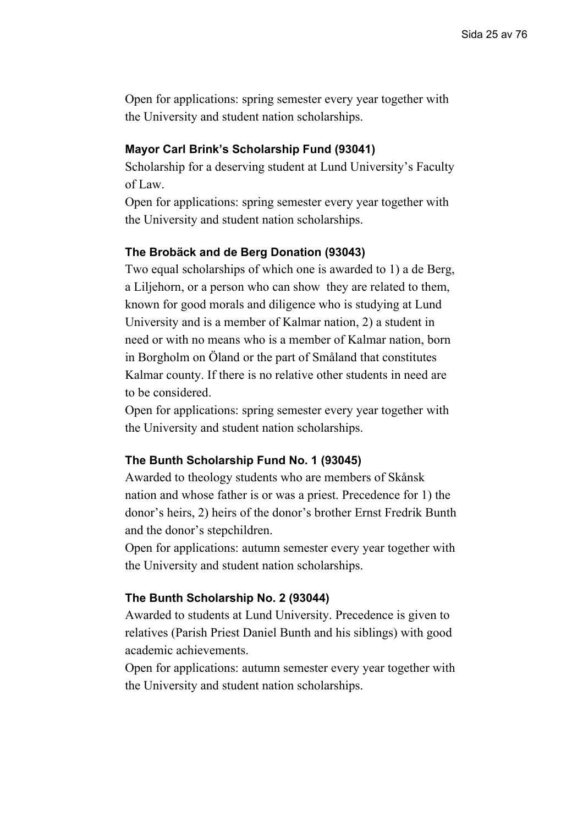Open for applications: spring semester every year together with the University and student nation scholarships.

#### **Mayor Carl Brink's Scholarship Fund (93041)**

Scholarship for a deserving student at Lund University's Faculty of Law.

Open for applications: spring semester every year together with the University and student nation scholarships.

### **The Brobäck and de Berg Donation (93043)**

Two equal scholarships of which one is awarded to 1) a de Berg, a Liljehorn, or a person who can show they are related to them, known for good morals and diligence who is studying at Lund University and is a member of Kalmar nation, 2) a student in need or with no means who is a member of Kalmar nation, born in Borgholm on Öland or the part of Småland that constitutes Kalmar county. If there is no relative other students in need are to be considered.

Open for applications: spring semester every year together with the University and student nation scholarships.

#### **The Bunth Scholarship Fund No. 1 (93045)**

Awarded to theology students who are members of Skånsk nation and whose father is or was a priest. Precedence for 1) the donor's heirs, 2) heirs of the donor's brother Ernst Fredrik Bunth and the donor's stepchildren.

Open for applications: autumn semester every year together with the University and student nation scholarships.

### **The Bunth Scholarship No. 2 (93044)**

Awarded to students at Lund University. Precedence is given to relatives (Parish Priest Daniel Bunth and his siblings) with good academic achievements.

Open for applications: autumn semester every year together with the University and student nation scholarships.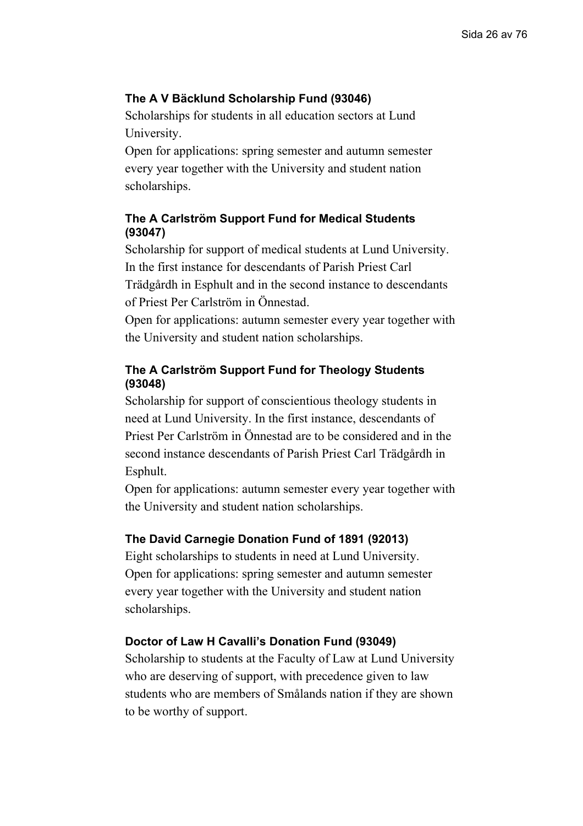## **The A V Bäcklund Scholarship Fund (93046)**

Scholarships for students in all education sectors at Lund University.

Open for applications: spring semester and autumn semester every year together with the University and student nation scholarships.

## **The A Carlström Support Fund for Medical Students (93047)**

Scholarship for support of medical students at Lund University. In the first instance for descendants of Parish Priest Carl Trädgårdh in Esphult and in the second instance to descendants of Priest Per Carlström in Önnestad.

Open for applications: autumn semester every year together with the University and student nation scholarships.

## **The A Carlström Support Fund for Theology Students (93048)**

Scholarship for support of conscientious theology students in need at Lund University. In the first instance, descendants of Priest Per Carlström in Önnestad are to be considered and in the second instance descendants of Parish Priest Carl Trädgårdh in Esphult.

Open for applications: autumn semester every year together with the University and student nation scholarships.

## **The David Carnegie Donation Fund of 1891 (92013)**

Eight scholarships to students in need at Lund University. Open for applications: spring semester and autumn semester every year together with the University and student nation scholarships.

## **Doctor of Law H Cavalli's Donation Fund (93049)**

Scholarship to students at the Faculty of Law at Lund University who are deserving of support, with precedence given to law students who are members of Smålands nation if they are shown to be worthy of support.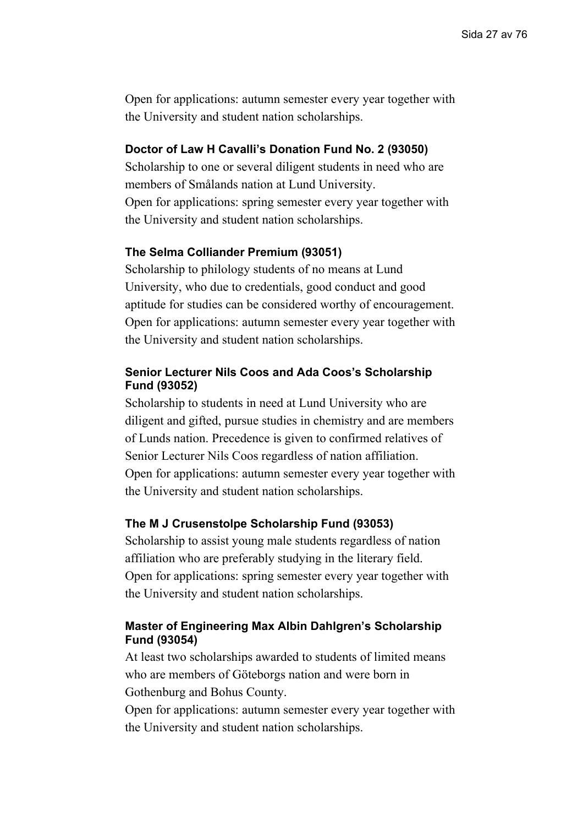Open for applications: autumn semester every year together with the University and student nation scholarships.

## **Doctor of Law H Cavalli's Donation Fund No. 2 (93050)**

Scholarship to one or several diligent students in need who are members of Smålands nation at Lund University. Open for applications: spring semester every year together with the University and student nation scholarships.

## **The Selma Colliander Premium (93051)**

Scholarship to philology students of no means at Lund University, who due to credentials, good conduct and good aptitude for studies can be considered worthy of encouragement. Open for applications: autumn semester every year together with the University and student nation scholarships.

## **Senior Lecturer Nils Coos and Ada Coos's Scholarship Fund (93052)**

Scholarship to students in need at Lund University who are diligent and gifted, pursue studies in chemistry and are members of Lunds nation. Precedence is given to confirmed relatives of Senior Lecturer Nils Coos regardless of nation affiliation. Open for applications: autumn semester every year together with the University and student nation scholarships.

## **The M J Crusenstolpe Scholarship Fund (93053)**

Scholarship to assist young male students regardless of nation affiliation who are preferably studying in the literary field. Open for applications: spring semester every year together with the University and student nation scholarships.

## **Master of Engineering Max Albin Dahlgren's Scholarship Fund (93054)**

At least two scholarships awarded to students of limited means who are members of Göteborgs nation and were born in Gothenburg and Bohus County.

Open for applications: autumn semester every year together with the University and student nation scholarships.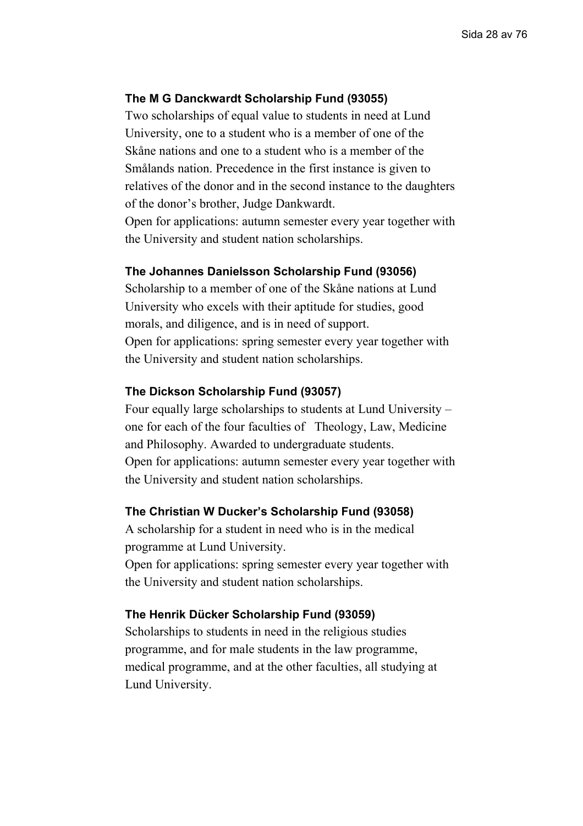## **The M G Danckwardt Scholarship Fund (93055)**

Two scholarships of equal value to students in need at Lund University, one to a student who is a member of one of the Skåne nations and one to a student who is a member of the Smålands nation. Precedence in the first instance is given to relatives of the donor and in the second instance to the daughters of the donor's brother, Judge Dankwardt. Open for applications: autumn semester every year together with the University and student nation scholarships.

#### **The Johannes Danielsson Scholarship Fund (93056)**

Scholarship to a member of one of the Skåne nations at Lund University who excels with their aptitude for studies, good morals, and diligence, and is in need of support. Open for applications: spring semester every year together with the University and student nation scholarships.

### **The Dickson Scholarship Fund (93057)**

Four equally large scholarships to students at Lund University – one for each of the four faculties of Theology, Law, Medicine and Philosophy. Awarded to undergraduate students. Open for applications: autumn semester every year together with the University and student nation scholarships.

#### **The Christian W Ducker's Scholarship Fund (93058)**

A scholarship for a student in need who is in the medical programme at Lund University.

Open for applications: spring semester every year together with the University and student nation scholarships.

#### **The Henrik Dücker Scholarship Fund (93059)**

Scholarships to students in need in the religious studies programme, and for male students in the law programme, medical programme, and at the other faculties, all studying at Lund University.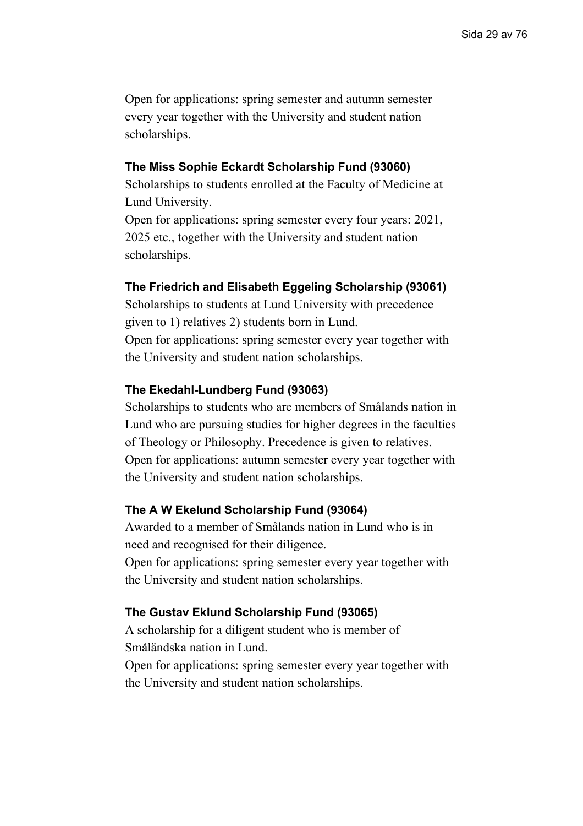Open for applications: spring semester and autumn semester every year together with the University and student nation scholarships.

#### **The Miss Sophie Eckardt Scholarship Fund (93060)**

Scholarships to students enrolled at the Faculty of Medicine at Lund University.

Open for applications: spring semester every four years: 2021, 2025 etc., together with the University and student nation scholarships.

#### **The Friedrich and Elisabeth Eggeling Scholarship (93061)**

Scholarships to students at Lund University with precedence given to 1) relatives 2) students born in Lund. Open for applications: spring semester every year together with the University and student nation scholarships.

#### **The Ekedahl-Lundberg Fund (93063)**

Scholarships to students who are members of Smålands nation in Lund who are pursuing studies for higher degrees in the faculties of Theology or Philosophy. Precedence is given to relatives. Open for applications: autumn semester every year together with the University and student nation scholarships.

### **The A W Ekelund Scholarship Fund (93064)**

Awarded to a member of Smålands nation in Lund who is in need and recognised for their diligence.

Open for applications: spring semester every year together with the University and student nation scholarships.

#### **The Gustav Eklund Scholarship Fund (93065)**

A scholarship for a diligent student who is member of Småländska nation in Lund. Open for applications: spring semester every year together with the University and student nation scholarships.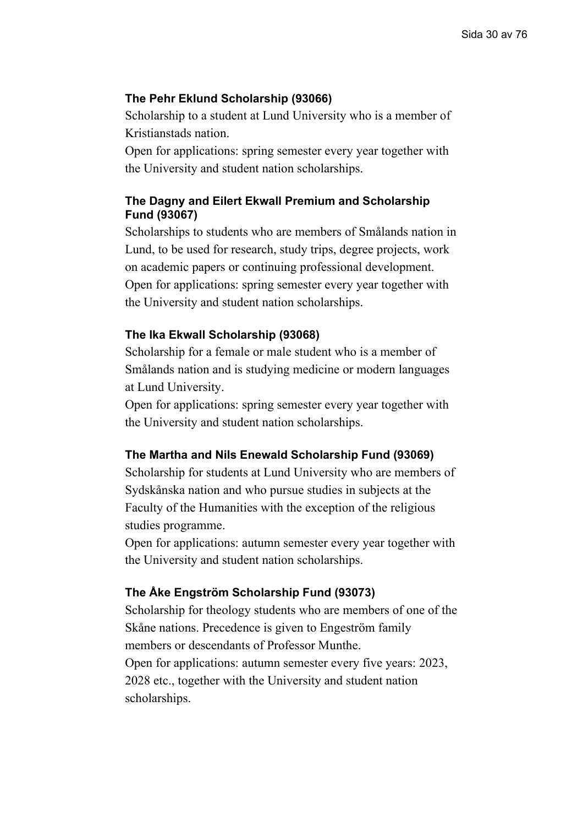## **The Pehr Eklund Scholarship (93066)**

Scholarship to a student at Lund University who is a member of Kristianstads nation.

Open for applications: spring semester every year together with the University and student nation scholarships.

## **The Dagny and Eilert Ekwall Premium and Scholarship Fund (93067)**

Scholarships to students who are members of Smålands nation in Lund, to be used for research, study trips, degree projects, work on academic papers or continuing professional development. Open for applications: spring semester every year together with the University and student nation scholarships.

## **The Ika Ekwall Scholarship (93068)**

Scholarship for a female or male student who is a member of Smålands nation and is studying medicine or modern languages at Lund University.

Open for applications: spring semester every year together with the University and student nation scholarships.

#### **The Martha and Nils Enewald Scholarship Fund (93069)**

Scholarship for students at Lund University who are members of Sydskånska nation and who pursue studies in subjects at the Faculty of the Humanities with the exception of the religious studies programme.

Open for applications: autumn semester every year together with the University and student nation scholarships.

## **The Åke Engström Scholarship Fund (93073)**

Scholarship for theology students who are members of one of the Skåne nations. Precedence is given to Engeström family members or descendants of Professor Munthe. Open for applications: autumn semester every five years: 2023, 2028 etc., together with the University and student nation scholarships.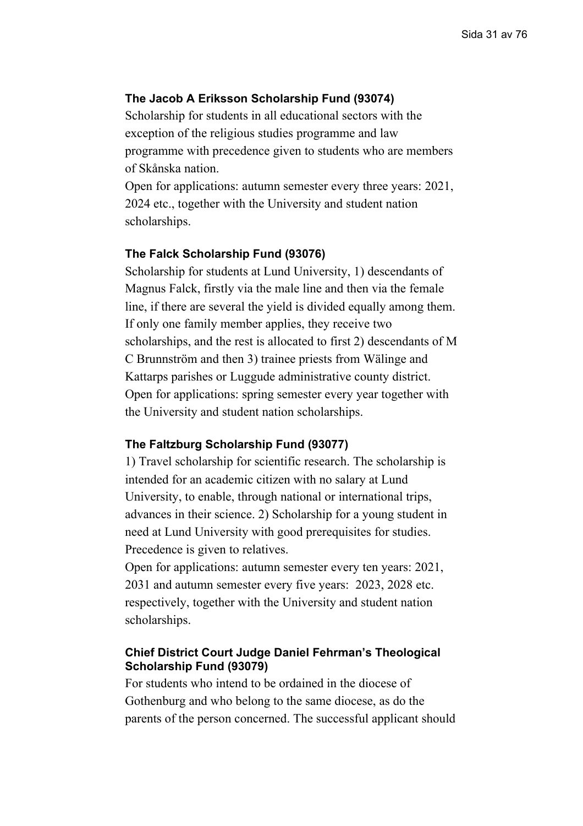## **The Jacob A Eriksson Scholarship Fund (93074)**

Scholarship for students in all educational sectors with the exception of the religious studies programme and law programme with precedence given to students who are members of Skånska nation.

Open for applications: autumn semester every three years: 2021, 2024 etc., together with the University and student nation scholarships.

## **The Falck Scholarship Fund (93076)**

Scholarship for students at Lund University, 1) descendants of Magnus Falck, firstly via the male line and then via the female line, if there are several the yield is divided equally among them. If only one family member applies, they receive two scholarships, and the rest is allocated to first 2) descendants of M C Brunnström and then 3) trainee priests from Wälinge and Kattarps parishes or Luggude administrative county district. Open for applications: spring semester every year together with the University and student nation scholarships.

#### **The Faltzburg Scholarship Fund (93077)**

1) Travel scholarship for scientific research. The scholarship is intended for an academic citizen with no salary at Lund University, to enable, through national or international trips, advances in their science. 2) Scholarship for a young student in need at Lund University with good prerequisites for studies. Precedence is given to relatives.

Open for applications: autumn semester every ten years: 2021, 2031 and autumn semester every five years: 2023, 2028 etc. respectively, together with the University and student nation scholarships.

## **Chief District Court Judge Daniel Fehrman's Theological Scholarship Fund (93079)**

For students who intend to be ordained in the diocese of Gothenburg and who belong to the same diocese, as do the parents of the person concerned. The successful applicant should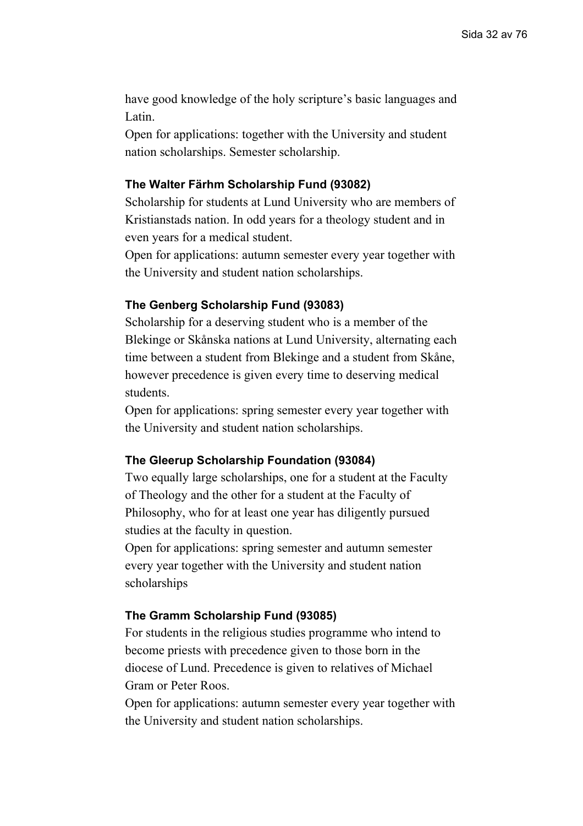have good knowledge of the holy scripture's basic languages and Latin.

Open for applications: together with the University and student nation scholarships. Semester scholarship.

## **The Walter Färhm Scholarship Fund (93082)**

Scholarship for students at Lund University who are members of Kristianstads nation. In odd years for a theology student and in even years for a medical student.

Open for applications: autumn semester every year together with the University and student nation scholarships.

#### **The Genberg Scholarship Fund (93083)**

Scholarship for a deserving student who is a member of the Blekinge or Skånska nations at Lund University, alternating each time between a student from Blekinge and a student from Skåne, however precedence is given every time to deserving medical students.

Open for applications: spring semester every year together with the University and student nation scholarships.

#### **The Gleerup Scholarship Foundation (93084)**

Two equally large scholarships, one for a student at the Faculty of Theology and the other for a student at the Faculty of Philosophy, who for at least one year has diligently pursued studies at the faculty in question.

Open for applications: spring semester and autumn semester every year together with the University and student nation scholarships

### **The Gramm Scholarship Fund (93085)**

For students in the religious studies programme who intend to become priests with precedence given to those born in the diocese of Lund. Precedence is given to relatives of Michael Gram or Peter Roos.

Open for applications: autumn semester every year together with the University and student nation scholarships.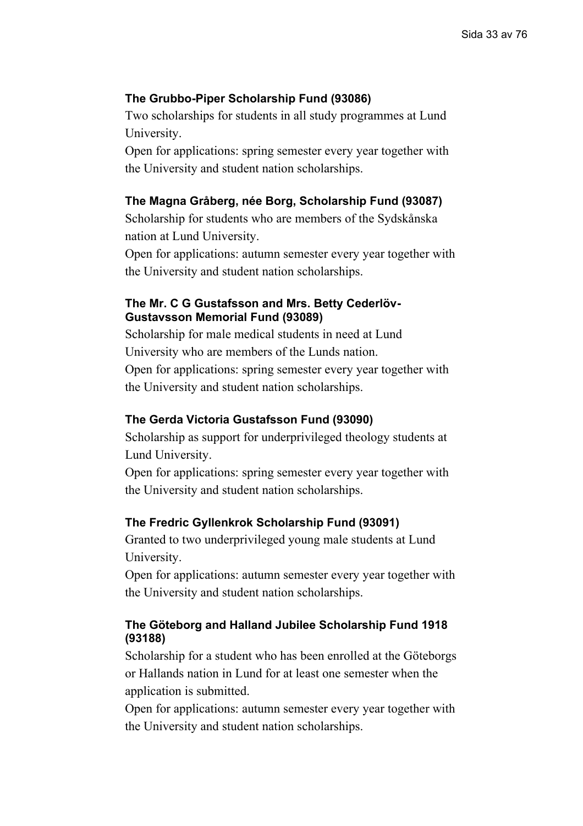## **The Grubbo-Piper Scholarship Fund (93086)**

Two scholarships for students in all study programmes at Lund University.

Open for applications: spring semester every year together with the University and student nation scholarships.

### **The Magna Gråberg, née Borg, Scholarship Fund (93087)**

Scholarship for students who are members of the Sydskånska nation at Lund University.

Open for applications: autumn semester every year together with the University and student nation scholarships.

## **The Mr. C G Gustafsson and Mrs. Betty Cederlöv-Gustavsson Memorial Fund (93089)**

Scholarship for male medical students in need at Lund University who are members of the Lunds nation. Open for applications: spring semester every year together with the University and student nation scholarships.

### **The Gerda Victoria Gustafsson Fund (93090)**

Scholarship as support for underprivileged theology students at Lund University.

Open for applications: spring semester every year together with the University and student nation scholarships.

### **The Fredric Gyllenkrok Scholarship Fund (93091)**

Granted to two underprivileged young male students at Lund University.

Open for applications: autumn semester every year together with the University and student nation scholarships.

## **The Göteborg and Halland Jubilee Scholarship Fund 1918 (93188)**

Scholarship for a student who has been enrolled at the Göteborgs or Hallands nation in Lund for at least one semester when the application is submitted.

Open for applications: autumn semester every year together with the University and student nation scholarships.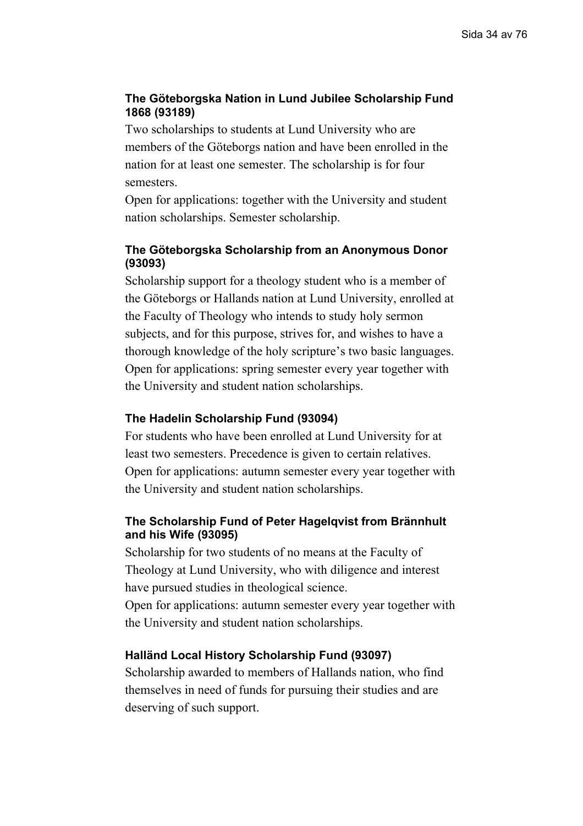## **The Göteborgska Nation in Lund Jubilee Scholarship Fund 1868 (93189)**

Two scholarships to students at Lund University who are members of the Göteborgs nation and have been enrolled in the nation for at least one semester. The scholarship is for four semesters.

Open for applications: together with the University and student nation scholarships. Semester scholarship.

## **The Göteborgska Scholarship from an Anonymous Donor (93093)**

Scholarship support for a theology student who is a member of the Göteborgs or Hallands nation at Lund University, enrolled at the Faculty of Theology who intends to study holy sermon subjects, and for this purpose, strives for, and wishes to have a thorough knowledge of the holy scripture's two basic languages. Open for applications: spring semester every year together with the University and student nation scholarships.

## **The Hadelin Scholarship Fund (93094)**

For students who have been enrolled at Lund University for at least two semesters. Precedence is given to certain relatives. Open for applications: autumn semester every year together with the University and student nation scholarships.

## **The Scholarship Fund of Peter Hagelqvist from Brännhult and his Wife (93095)**

Scholarship for two students of no means at the Faculty of Theology at Lund University, who with diligence and interest have pursued studies in theological science.

Open for applications: autumn semester every year together with the University and student nation scholarships.

## **Halländ Local History Scholarship Fund (93097)**

Scholarship awarded to members of Hallands nation, who find themselves in need of funds for pursuing their studies and are deserving of such support.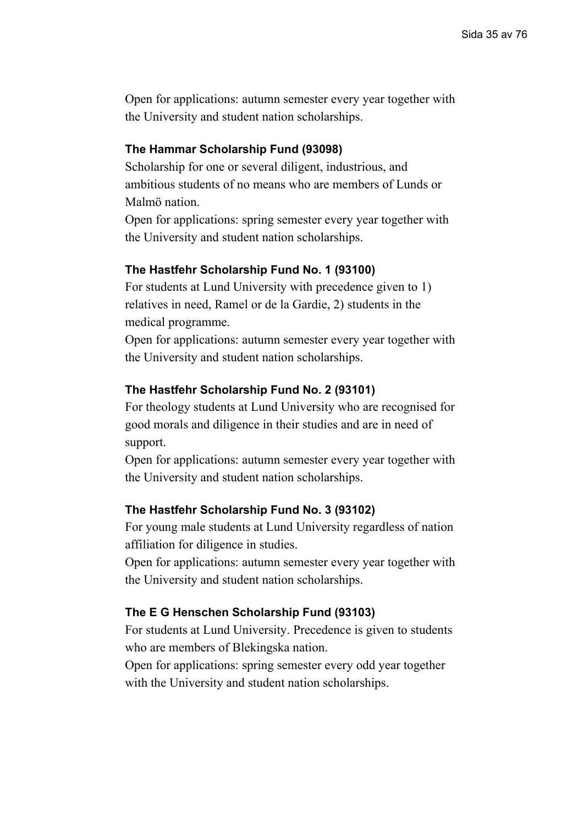Open for applications: autumn semester every year together with the University and student nation scholarships.

### **The Hammar Scholarship Fund (93098)**

Scholarship for one or several diligent, industrious, and ambitious students of no means who are members of Lunds or Malmö nation.

Open for applications: spring semester every year together with the University and student nation scholarships.

#### **The Hastfehr Scholarship Fund No. 1 (93100)**

For students at Lund University with precedence given to 1) relatives in need, Ramel or de la Gardie, 2) students in the medical programme.

Open for applications: autumn semester every year together with the University and student nation scholarships.

#### **The Hastfehr Scholarship Fund No. 2 (93101)**

For theology students at Lund University who are recognised for good morals and diligence in their studies and are in need of support.

Open for applications: autumn semester every year together with the University and student nation scholarships.

### **The Hastfehr Scholarship Fund No. 3 (93102)**

For young male students at Lund University regardless of nation affiliation for diligence in studies.

Open for applications: autumn semester every year together with the University and student nation scholarships.

#### **The E G Henschen Scholarship Fund (93103)**

For students at Lund University. Precedence is given to students who are members of Blekingska nation.

Open for applications: spring semester every odd year together with the University and student nation scholarships.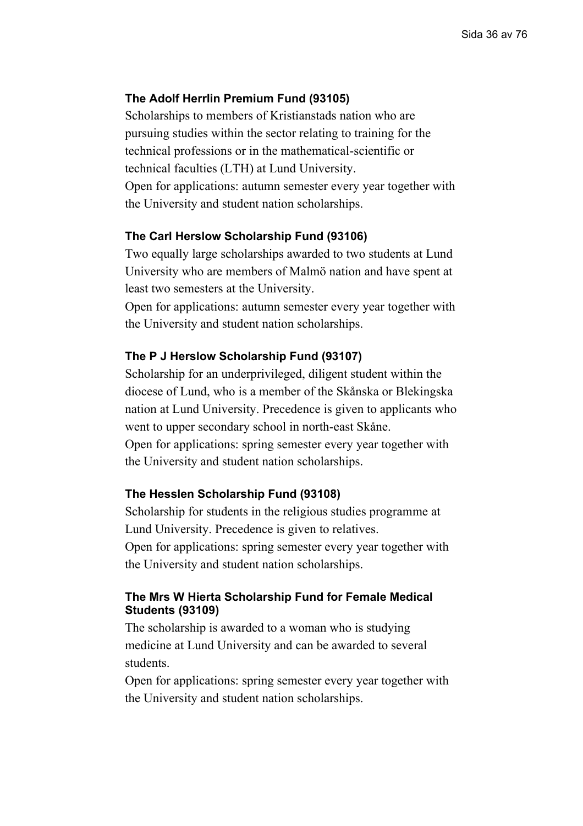## **The Adolf Herrlin Premium Fund (93105)**

Scholarships to members of Kristianstads nation who are pursuing studies within the sector relating to training for the technical professions or in the mathematical-scientific or technical faculties (LTH) at Lund University. Open for applications: autumn semester every year together with the University and student nation scholarships.

## **The Carl Herslow Scholarship Fund (93106)**

Two equally large scholarships awarded to two students at Lund University who are members of Malmö nation and have spent at least two semesters at the University.

Open for applications: autumn semester every year together with the University and student nation scholarships.

#### **The P J Herslow Scholarship Fund (93107)**

Scholarship for an underprivileged, diligent student within the diocese of Lund, who is a member of the Skånska or Blekingska nation at Lund University. Precedence is given to applicants who went to upper secondary school in north-east Skåne. Open for applications: spring semester every year together with the University and student nation scholarships.

## **The Hesslen Scholarship Fund (93108)**

Scholarship for students in the religious studies programme at Lund University. Precedence is given to relatives. Open for applications: spring semester every year together with the University and student nation scholarships.

## **The Mrs W Hierta Scholarship Fund for Female Medical Students (93109)**

The scholarship is awarded to a woman who is studying medicine at Lund University and can be awarded to several students.

Open for applications: spring semester every year together with the University and student nation scholarships.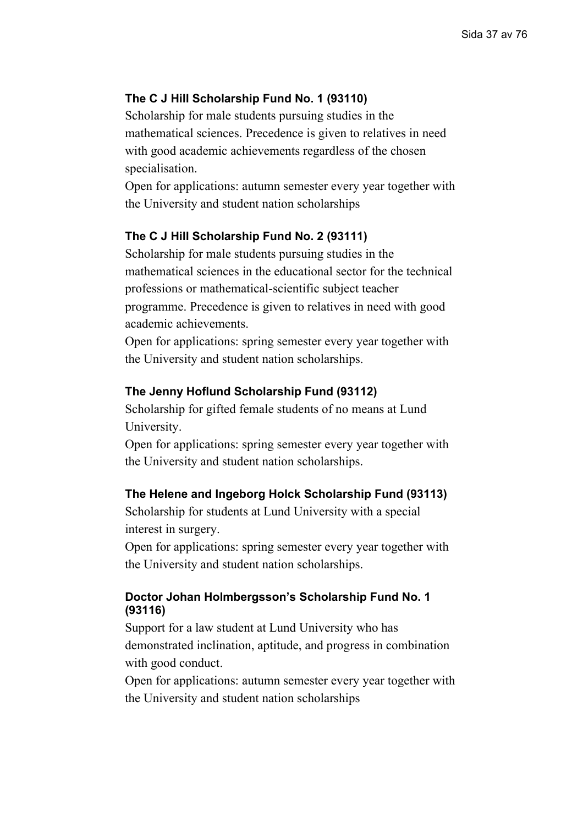# **The C J Hill Scholarship Fund No. 1 (93110)**

Scholarship for male students pursuing studies in the mathematical sciences. Precedence is given to relatives in need with good academic achievements regardless of the chosen specialisation.

Open for applications: autumn semester every year together with the University and student nation scholarships

# **The C J Hill Scholarship Fund No. 2 (93111)**

Scholarship for male students pursuing studies in the mathematical sciences in the educational sector for the technical professions or mathematical-scientific subject teacher programme. Precedence is given to relatives in need with good academic achievements.

Open for applications: spring semester every year together with the University and student nation scholarships.

# **The Jenny Hoflund Scholarship Fund (93112)**

Scholarship for gifted female students of no means at Lund University.

Open for applications: spring semester every year together with the University and student nation scholarships.

# **The Helene and Ingeborg Holck Scholarship Fund (93113)**

Scholarship for students at Lund University with a special interest in surgery.

Open for applications: spring semester every year together with the University and student nation scholarships.

# **Doctor Johan Holmbergsson's Scholarship Fund No. 1 (93116)**

Support for a law student at Lund University who has demonstrated inclination, aptitude, and progress in combination with good conduct.

Open for applications: autumn semester every year together with the University and student nation scholarships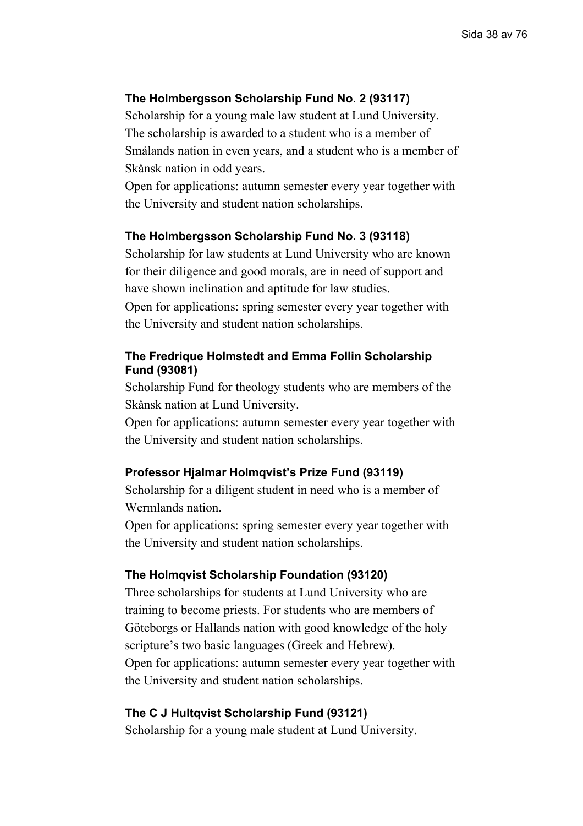# **The Holmbergsson Scholarship Fund No. 2 (93117)**

Scholarship for a young male law student at Lund University. The scholarship is awarded to a student who is a member of Smålands nation in even years, and a student who is a member of Skånsk nation in odd years.

Open for applications: autumn semester every year together with the University and student nation scholarships.

### **The Holmbergsson Scholarship Fund No. 3 (93118)**

Scholarship for law students at Lund University who are known for their diligence and good morals, are in need of support and have shown inclination and aptitude for law studies. Open for applications: spring semester every year together with the University and student nation scholarships.

# **The Fredrique Holmstedt and Emma Follin Scholarship Fund (93081)**

Scholarship Fund for theology students who are members of the Skånsk nation at Lund University.

Open for applications: autumn semester every year together with the University and student nation scholarships.

### **Professor Hjalmar Holmqvist's Prize Fund (93119)**

Scholarship for a diligent student in need who is a member of Wermlands nation.

Open for applications: spring semester every year together with the University and student nation scholarships.

## **The Holmqvist Scholarship Foundation (93120)**

Three scholarships for students at Lund University who are training to become priests. For students who are members of Göteborgs or Hallands nation with good knowledge of the holy scripture's two basic languages (Greek and Hebrew). Open for applications: autumn semester every year together with the University and student nation scholarships.

## **The C J Hultqvist Scholarship Fund (93121)**

Scholarship for a young male student at Lund University.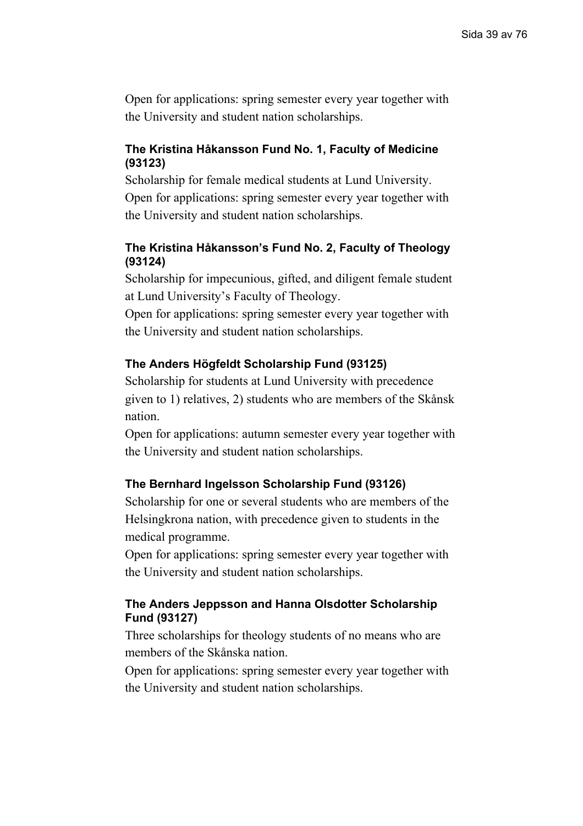# **The Kristina Håkansson Fund No. 1, Faculty of Medicine (93123)**

Scholarship for female medical students at Lund University. Open for applications: spring semester every year together with the University and student nation scholarships.

# **The Kristina Håkansson's Fund No. 2, Faculty of Theology (93124)**

Scholarship for impecunious, gifted, and diligent female student at Lund University's Faculty of Theology.

Open for applications: spring semester every year together with the University and student nation scholarships.

# **The Anders Högfeldt Scholarship Fund (93125)**

Scholarship for students at Lund University with precedence given to 1) relatives, 2) students who are members of the Skånsk nation.

Open for applications: autumn semester every year together with the University and student nation scholarships.

# **The Bernhard Ingelsson Scholarship Fund (93126)**

Scholarship for one or several students who are members of the Helsingkrona nation, with precedence given to students in the medical programme.

Open for applications: spring semester every year together with the University and student nation scholarships.

# **The Anders Jeppsson and Hanna Olsdotter Scholarship Fund (93127)**

Three scholarships for theology students of no means who are members of the Skånska nation.

Open for applications: spring semester every year together with the University and student nation scholarships.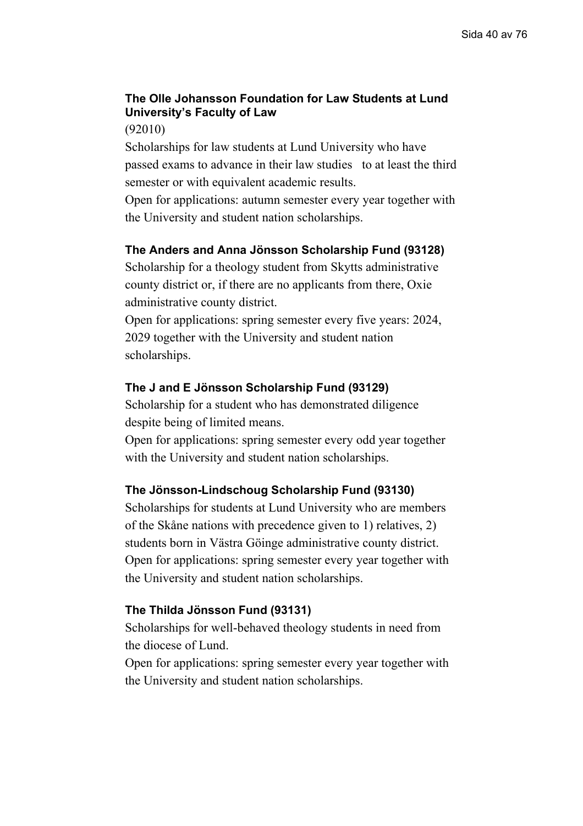# **The Olle Johansson Foundation for Law Students at Lund University's Faculty of Law**

(92010)

Scholarships for law students at Lund University who have passed exams to advance in their law studies to at least the third semester or with equivalent academic results.

Open for applications: autumn semester every year together with the University and student nation scholarships.

# **The Anders and Anna Jönsson Scholarship Fund (93128)**

Scholarship for a theology student from Skytts administrative county district or, if there are no applicants from there, Oxie administrative county district.

Open for applications: spring semester every five years: 2024, 2029 together with the University and student nation scholarships.

# **The J and E Jönsson Scholarship Fund (93129)**

Scholarship for a student who has demonstrated diligence despite being of limited means.

Open for applications: spring semester every odd year together with the University and student nation scholarships.

### **The Jönsson-Lindschoug Scholarship Fund (93130)**

Scholarships for students at Lund University who are members of the Skåne nations with precedence given to 1) relatives, 2) students born in Västra Göinge administrative county district. Open for applications: spring semester every year together with the University and student nation scholarships.

# **The Thilda Jönsson Fund (93131)**

Scholarships for well-behaved theology students in need from the diocese of Lund.

Open for applications: spring semester every year together with the University and student nation scholarships.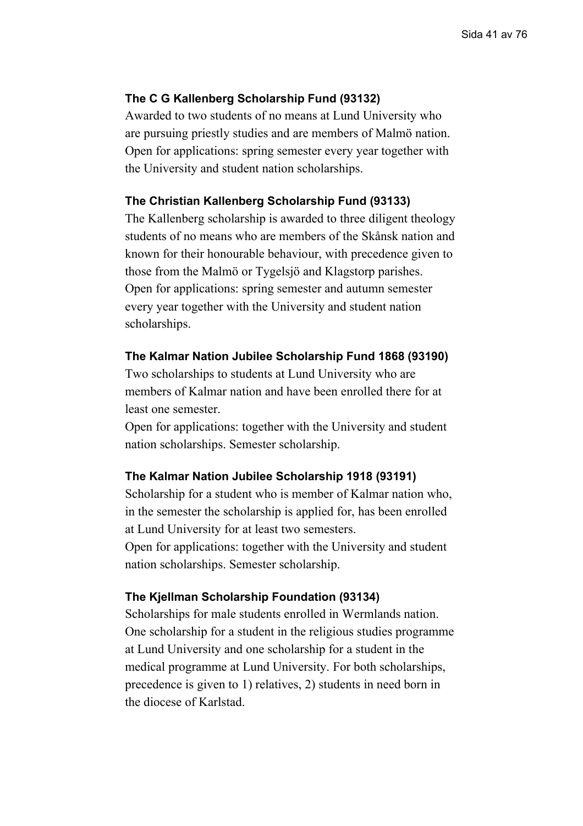## **The C G Kallenberg Scholarship Fund (93132)**

Awarded to two students of no means at Lund University who are pursuing priestly studies and are members of Malmö nation. Open for applications: spring semester every year together with the University and student nation scholarships.

#### **The Christian Kallenberg Scholarship Fund (93133)**

The Kallenberg scholarship is awarded to three diligent theology students of no means who are members of the Skånsk nation and known for their honourable behaviour, with precedence given to those from the Malmö or Tygelsjö and Klagstorp parishes. Open for applications: spring semester and autumn semester every year together with the University and student nation scholarships.

#### **The Kalmar Nation Jubilee Scholarship Fund 1868 (93190)**

Two scholarships to students at Lund University who are members of Kalmar nation and have been enrolled there for at least one semester.

Open for applications: together with the University and student nation scholarships. Semester scholarship.

### **The Kalmar Nation Jubilee Scholarship 1918 (93191)**

Scholarship for a student who is member of Kalmar nation who, in the semester the scholarship is applied for, has been enrolled at Lund University for at least two semesters.

Open for applications: together with the University and student nation scholarships. Semester scholarship.

#### **The Kjellman Scholarship Foundation (93134)**

Scholarships for male students enrolled in Wermlands nation. One scholarship for a student in the religious studies programme at Lund University and one scholarship for a student in the medical programme at Lund University. For both scholarships, precedence is given to 1) relatives, 2) students in need born in the diocese of Karlstad.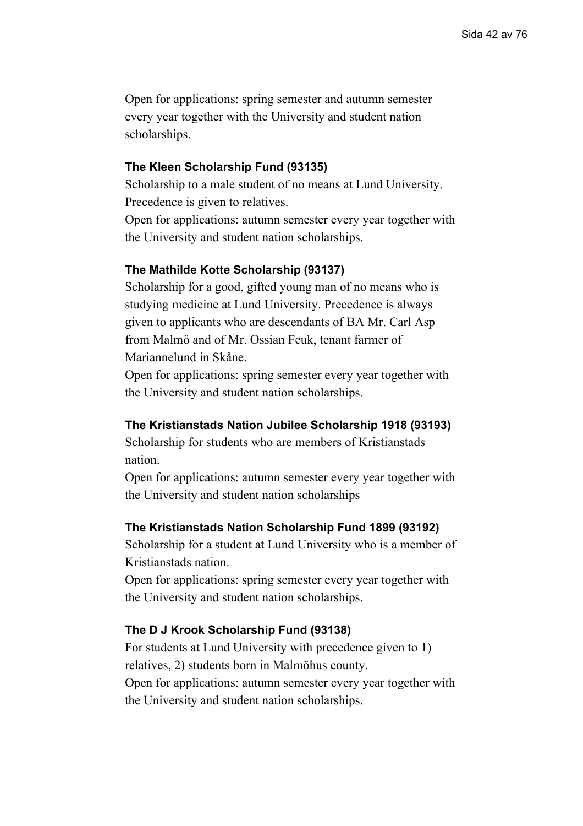### **The Kleen Scholarship Fund (93135)**

Scholarship to a male student of no means at Lund University. Precedence is given to relatives.

Open for applications: autumn semester every year together with the University and student nation scholarships.

#### **The Mathilde Kotte Scholarship (93137)**

Scholarship for a good, gifted young man of no means who is studying medicine at Lund University. Precedence is always given to applicants who are descendants of BA Mr. Carl Asp from Malmö and of Mr. Ossian Feuk, tenant farmer of Mariannelund in Skåne.

Open for applications: spring semester every year together with the University and student nation scholarships.

### **The Kristianstads Nation Jubilee Scholarship 1918 (93193)**

Scholarship for students who are members of Kristianstads nation.

Open for applications: autumn semester every year together with the University and student nation scholarships

#### **The Kristianstads Nation Scholarship Fund 1899 (93192)**

Scholarship for a student at Lund University who is a member of Kristianstads nation.

Open for applications: spring semester every year together with the University and student nation scholarships.

## **The D J Krook Scholarship Fund (93138)**

For students at Lund University with precedence given to 1) relatives, 2) students born in Malmöhus county. Open for applications: autumn semester every year together with the University and student nation scholarships.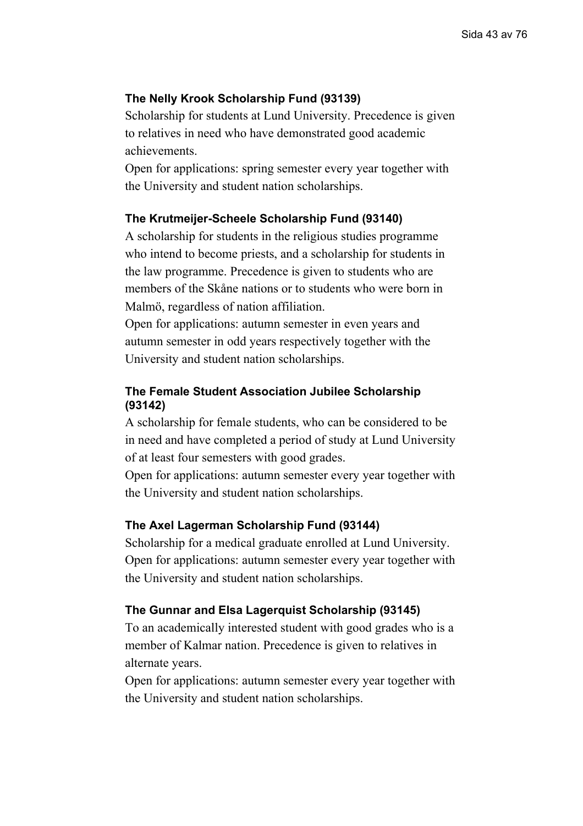# **The Nelly Krook Scholarship Fund (93139)**

Scholarship for students at Lund University. Precedence is given to relatives in need who have demonstrated good academic achievements.

Open for applications: spring semester every year together with the University and student nation scholarships.

### **The Krutmeijer-Scheele Scholarship Fund (93140)**

A scholarship for students in the religious studies programme who intend to become priests, and a scholarship for students in the law programme. Precedence is given to students who are members of the Skåne nations or to students who were born in Malmö, regardless of nation affiliation.

Open for applications: autumn semester in even years and autumn semester in odd years respectively together with the University and student nation scholarships.

# **The Female Student Association Jubilee Scholarship (93142)**

A scholarship for female students, who can be considered to be in need and have completed a period of study at Lund University of at least four semesters with good grades.

Open for applications: autumn semester every year together with the University and student nation scholarships.

#### **The Axel Lagerman Scholarship Fund (93144)**

Scholarship for a medical graduate enrolled at Lund University. Open for applications: autumn semester every year together with the University and student nation scholarships.

#### **The Gunnar and Elsa Lagerquist Scholarship (93145)**

To an academically interested student with good grades who is a member of Kalmar nation. Precedence is given to relatives in alternate years.

Open for applications: autumn semester every year together with the University and student nation scholarships.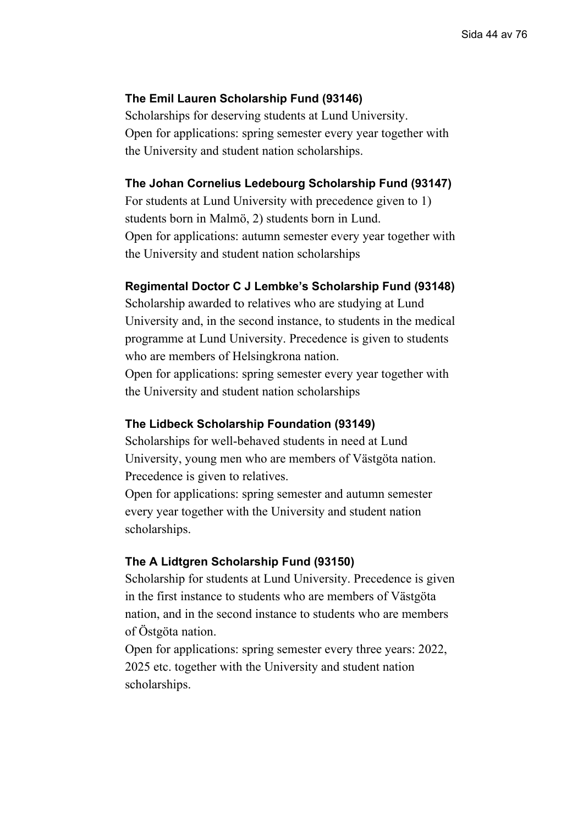# **The Emil Lauren Scholarship Fund (93146)**

Scholarships for deserving students at Lund University. Open for applications: spring semester every year together with the University and student nation scholarships.

### **The Johan Cornelius Ledebourg Scholarship Fund (93147)**

For students at Lund University with precedence given to 1) students born in Malmö, 2) students born in Lund. Open for applications: autumn semester every year together with the University and student nation scholarships

#### **Regimental Doctor C J Lembke's Scholarship Fund (93148)**

Scholarship awarded to relatives who are studying at Lund University and, in the second instance, to students in the medical programme at Lund University. Precedence is given to students who are members of Helsingkrona nation.

Open for applications: spring semester every year together with the University and student nation scholarships

### **The Lidbeck Scholarship Foundation (93149)**

Scholarships for well-behaved students in need at Lund University, young men who are members of Västgöta nation. Precedence is given to relatives.

Open for applications: spring semester and autumn semester every year together with the University and student nation scholarships.

#### **The A Lidtgren Scholarship Fund (93150)**

Scholarship for students at Lund University. Precedence is given in the first instance to students who are members of Västgöta nation, and in the second instance to students who are members of Östgöta nation.

Open for applications: spring semester every three years: 2022, 2025 etc. together with the University and student nation scholarships.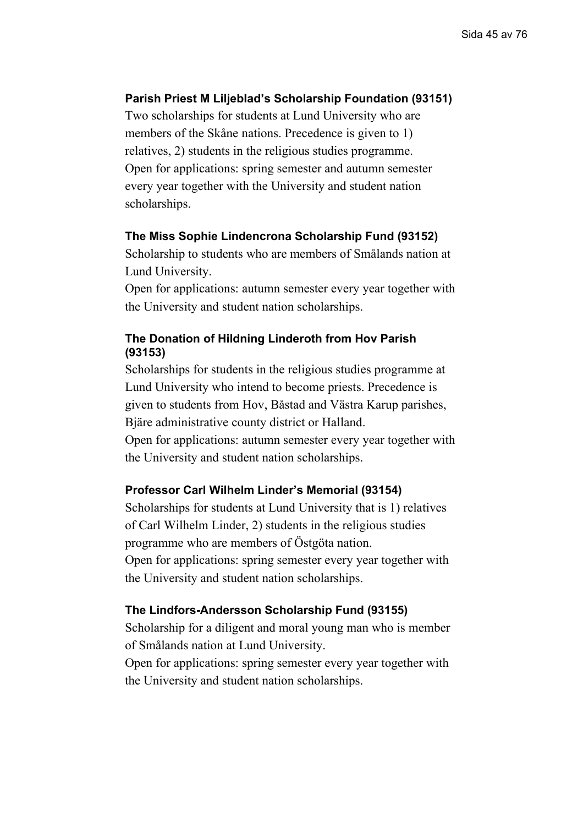# **Parish Priest M Liljeblad's Scholarship Foundation (93151)**

Two scholarships for students at Lund University who are members of the Skåne nations. Precedence is given to 1) relatives, 2) students in the religious studies programme. Open for applications: spring semester and autumn semester every year together with the University and student nation scholarships.

### **The Miss Sophie Lindencrona Scholarship Fund (93152)**

Scholarship to students who are members of Smålands nation at Lund University.

Open for applications: autumn semester every year together with the University and student nation scholarships.

# **The Donation of Hildning Linderoth from Hov Parish (93153)**

Scholarships for students in the religious studies programme at Lund University who intend to become priests. Precedence is given to students from Hov, Båstad and Västra Karup parishes, Bjäre administrative county district or Halland.

Open for applications: autumn semester every year together with the University and student nation scholarships.

# **Professor Carl Wilhelm Linder's Memorial (93154)**

Scholarships for students at Lund University that is 1) relatives of Carl Wilhelm Linder, 2) students in the religious studies programme who are members of Östgöta nation. Open for applications: spring semester every year together with the University and student nation scholarships.

### **The Lindfors-Andersson Scholarship Fund (93155)**

Scholarship for a diligent and moral young man who is member of Smålands nation at Lund University.

Open for applications: spring semester every year together with the University and student nation scholarships.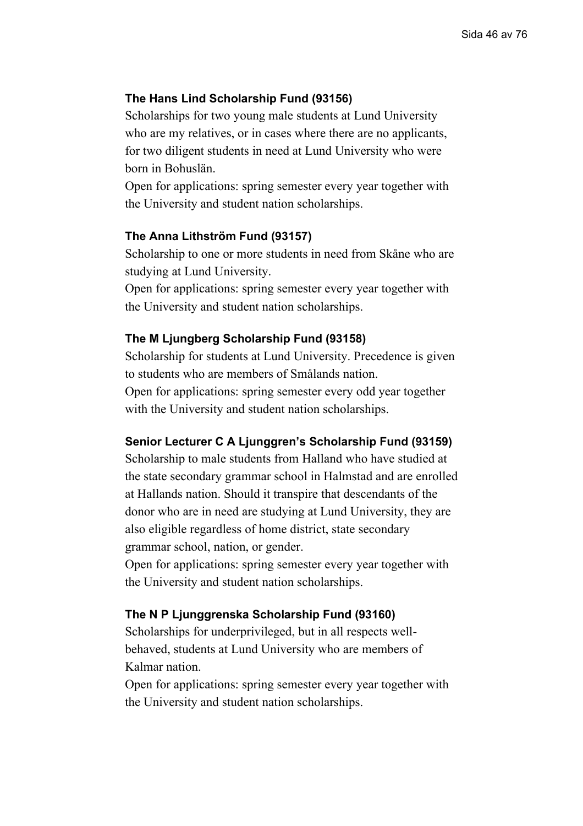# **The Hans Lind Scholarship Fund (93156)**

Scholarships for two young male students at Lund University who are my relatives, or in cases where there are no applicants, for two diligent students in need at Lund University who were born in Bohuslän.

Open for applications: spring semester every year together with the University and student nation scholarships.

### **The Anna Lithström Fund (93157)**

Scholarship to one or more students in need from Skåne who are studying at Lund University.

Open for applications: spring semester every year together with the University and student nation scholarships.

# **The M Ljungberg Scholarship Fund (93158)**

Scholarship for students at Lund University. Precedence is given to students who are members of Smålands nation. Open for applications: spring semester every odd year together with the University and student nation scholarships.

# **Senior Lecturer C A Ljunggren's Scholarship Fund (93159)**

Scholarship to male students from Halland who have studied at the state secondary grammar school in Halmstad and are enrolled at Hallands nation. Should it transpire that descendants of the donor who are in need are studying at Lund University, they are also eligible regardless of home district, state secondary grammar school, nation, or gender.

Open for applications: spring semester every year together with the University and student nation scholarships.

#### **The N P Ljunggrenska Scholarship Fund (93160)**

Scholarships for underprivileged, but in all respects wellbehaved, students at Lund University who are members of Kalmar nation.

Open for applications: spring semester every year together with the University and student nation scholarships.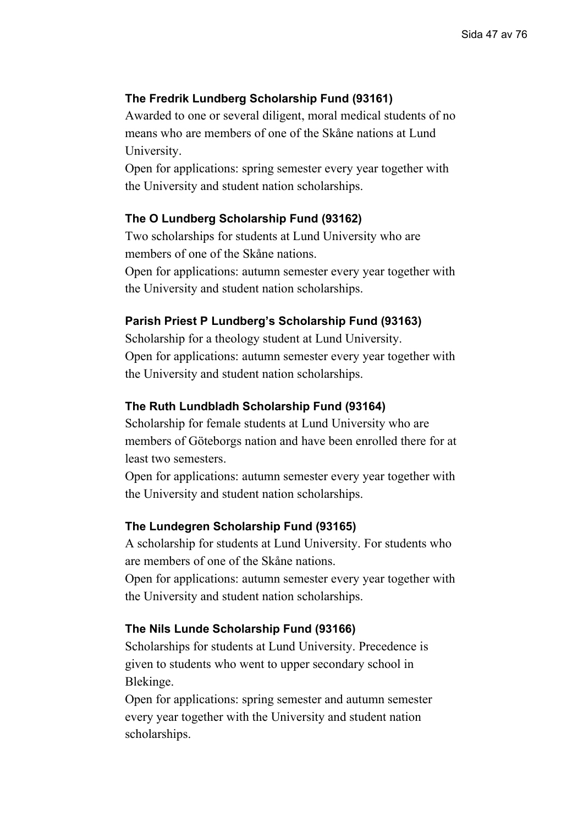# **The Fredrik Lundberg Scholarship Fund (93161)**

Awarded to one or several diligent, moral medical students of no means who are members of one of the Skåne nations at Lund University.

Open for applications: spring semester every year together with the University and student nation scholarships.

### **The O Lundberg Scholarship Fund (93162)**

Two scholarships for students at Lund University who are members of one of the Skåne nations.

Open for applications: autumn semester every year together with the University and student nation scholarships.

## **Parish Priest P Lundberg's Scholarship Fund (93163)**

Scholarship for a theology student at Lund University. Open for applications: autumn semester every year together with the University and student nation scholarships.

### **The Ruth Lundbladh Scholarship Fund (93164)**

Scholarship for female students at Lund University who are members of Göteborgs nation and have been enrolled there for at least two semesters.

Open for applications: autumn semester every year together with the University and student nation scholarships.

#### **The Lundegren Scholarship Fund (93165)**

A scholarship for students at Lund University. For students who are members of one of the Skåne nations.

Open for applications: autumn semester every year together with the University and student nation scholarships.

### **The Nils Lunde Scholarship Fund (93166)**

Scholarships for students at Lund University. Precedence is given to students who went to upper secondary school in Blekinge.

Open for applications: spring semester and autumn semester every year together with the University and student nation scholarships.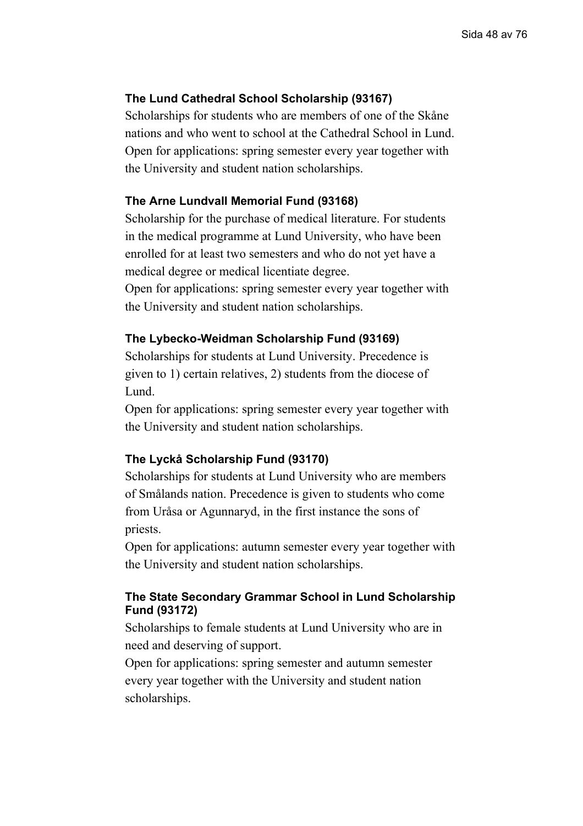# **The Lund Cathedral School Scholarship (93167)**

Scholarships for students who are members of one of the Skåne nations and who went to school at the Cathedral School in Lund. Open for applications: spring semester every year together with the University and student nation scholarships.

### **The Arne Lundvall Memorial Fund (93168)**

Scholarship for the purchase of medical literature. For students in the medical programme at Lund University, who have been enrolled for at least two semesters and who do not yet have a medical degree or medical licentiate degree.

Open for applications: spring semester every year together with the University and student nation scholarships.

## **The Lybecko-Weidman Scholarship Fund (93169)**

Scholarships for students at Lund University. Precedence is given to 1) certain relatives, 2) students from the diocese of Lund.

Open for applications: spring semester every year together with the University and student nation scholarships.

## **The Lyckå Scholarship Fund (93170)**

Scholarships for students at Lund University who are members of Smålands nation. Precedence is given to students who come from Uråsa or Agunnaryd, in the first instance the sons of priests.

Open for applications: autumn semester every year together with the University and student nation scholarships.

# **The State Secondary Grammar School in Lund Scholarship Fund (93172)**

Scholarships to female students at Lund University who are in need and deserving of support.

Open for applications: spring semester and autumn semester every year together with the University and student nation scholarships.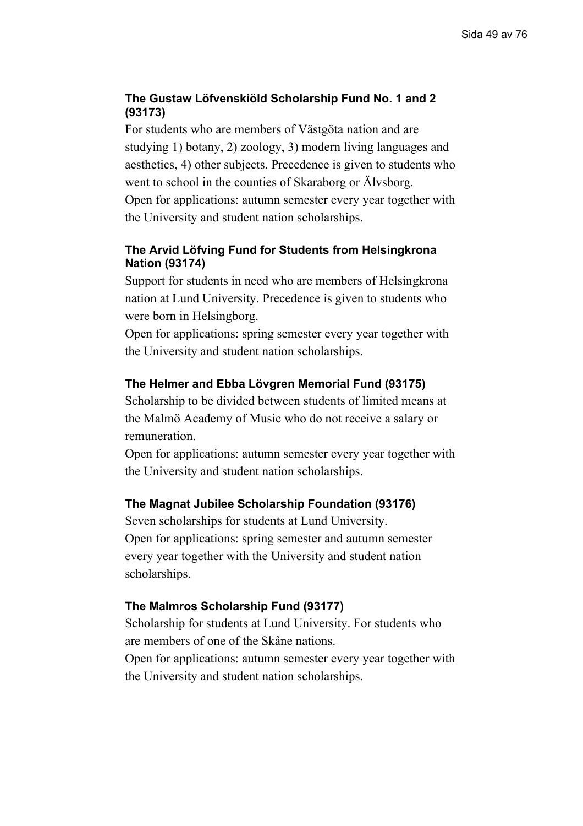# **The Gustaw Löfvenskiöld Scholarship Fund No. 1 and 2 (93173)**

For students who are members of Västgöta nation and are studying 1) botany, 2) zoology, 3) modern living languages and aesthetics, 4) other subjects. Precedence is given to students who went to school in the counties of Skaraborg or Älvsborg.

Open for applications: autumn semester every year together with the University and student nation scholarships.

# **The Arvid Löfving Fund for Students from Helsingkrona Nation (93174)**

Support for students in need who are members of Helsingkrona nation at Lund University. Precedence is given to students who were born in Helsingborg.

Open for applications: spring semester every year together with the University and student nation scholarships.

# **The Helmer and Ebba Lövgren Memorial Fund (93175)**

Scholarship to be divided between students of limited means at the Malmö Academy of Music who do not receive a salary or remuneration.

Open for applications: autumn semester every year together with the University and student nation scholarships.

# **The Magnat Jubilee Scholarship Foundation (93176)**

Seven scholarships for students at Lund University. Open for applications: spring semester and autumn semester every year together with the University and student nation scholarships.

# **The Malmros Scholarship Fund (93177)**

Scholarship for students at Lund University. For students who are members of one of the Skåne nations.

Open for applications: autumn semester every year together with the University and student nation scholarships.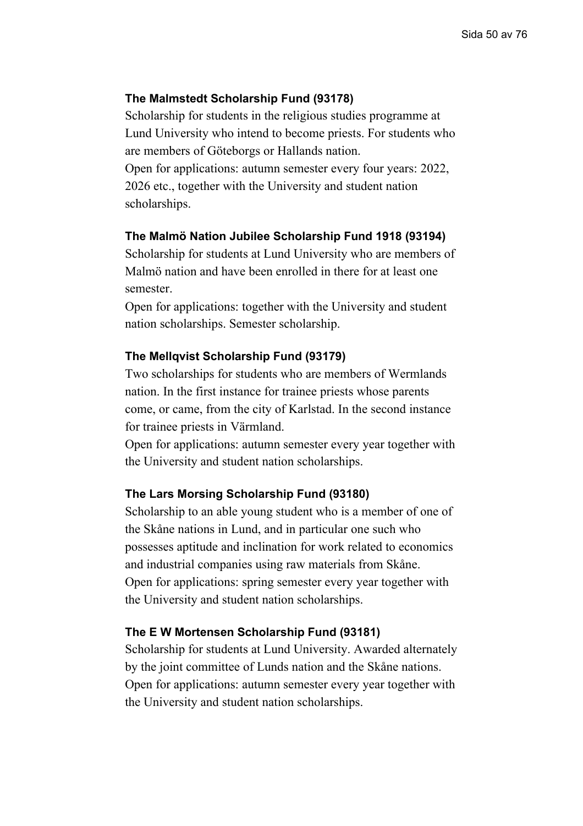# **The Malmstedt Scholarship Fund (93178)**

Scholarship for students in the religious studies programme at Lund University who intend to become priests. For students who are members of Göteborgs or Hallands nation. Open for applications: autumn semester every four years: 2022,

2026 etc., together with the University and student nation scholarships.

#### **The Malmö Nation Jubilee Scholarship Fund 1918 (93194)**

Scholarship for students at Lund University who are members of Malmö nation and have been enrolled in there for at least one semester.

Open for applications: together with the University and student nation scholarships. Semester scholarship.

#### **The Mellqvist Scholarship Fund (93179)**

Two scholarships for students who are members of Wermlands nation. In the first instance for trainee priests whose parents come, or came, from the city of Karlstad. In the second instance for trainee priests in Värmland.

Open for applications: autumn semester every year together with the University and student nation scholarships.

# **The Lars Morsing Scholarship Fund (93180)**

Scholarship to an able young student who is a member of one of the Skåne nations in Lund, and in particular one such who possesses aptitude and inclination for work related to economics and industrial companies using raw materials from Skåne. Open for applications: spring semester every year together with the University and student nation scholarships.

#### **The E W Mortensen Scholarship Fund (93181)**

Scholarship for students at Lund University. Awarded alternately by the joint committee of Lunds nation and the Skåne nations. Open for applications: autumn semester every year together with the University and student nation scholarships.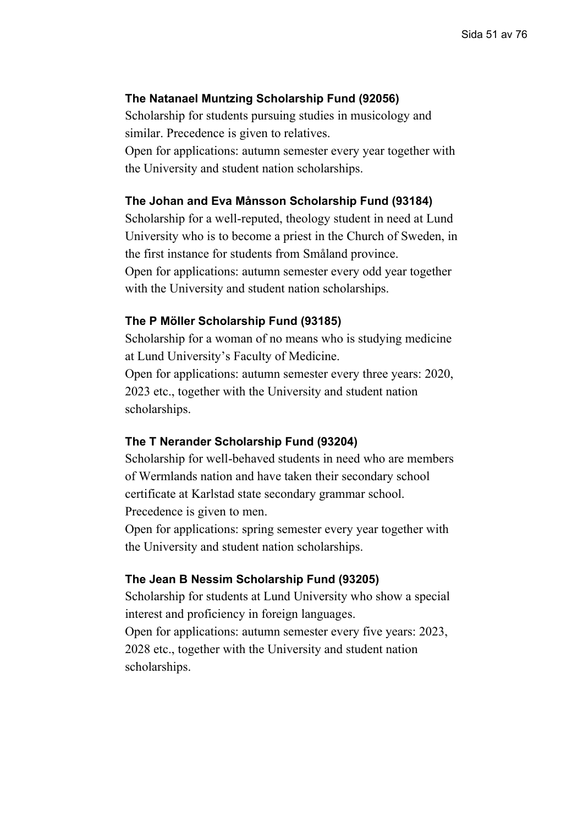## **The Natanael Muntzing Scholarship Fund (92056)**

Scholarship for students pursuing studies in musicology and similar. Precedence is given to relatives. Open for applications: autumn semester every year together with the University and student nation scholarships.

### **The Johan and Eva Månsson Scholarship Fund (93184)**

Scholarship for a well-reputed, theology student in need at Lund University who is to become a priest in the Church of Sweden, in the first instance for students from Småland province. Open for applications: autumn semester every odd year together with the University and student nation scholarships.

### **The P Möller Scholarship Fund (93185)**

Scholarship for a woman of no means who is studying medicine at Lund University's Faculty of Medicine.

Open for applications: autumn semester every three years: 2020, 2023 etc., together with the University and student nation scholarships.

#### **The T Nerander Scholarship Fund (93204)**

Scholarship for well-behaved students in need who are members of Wermlands nation and have taken their secondary school certificate at Karlstad state secondary grammar school. Precedence is given to men.

Open for applications: spring semester every year together with the University and student nation scholarships.

#### **The Jean B Nessim Scholarship Fund (93205)**

Scholarship for students at Lund University who show a special interest and proficiency in foreign languages. Open for applications: autumn semester every five years: 2023, 2028 etc., together with the University and student nation

scholarships.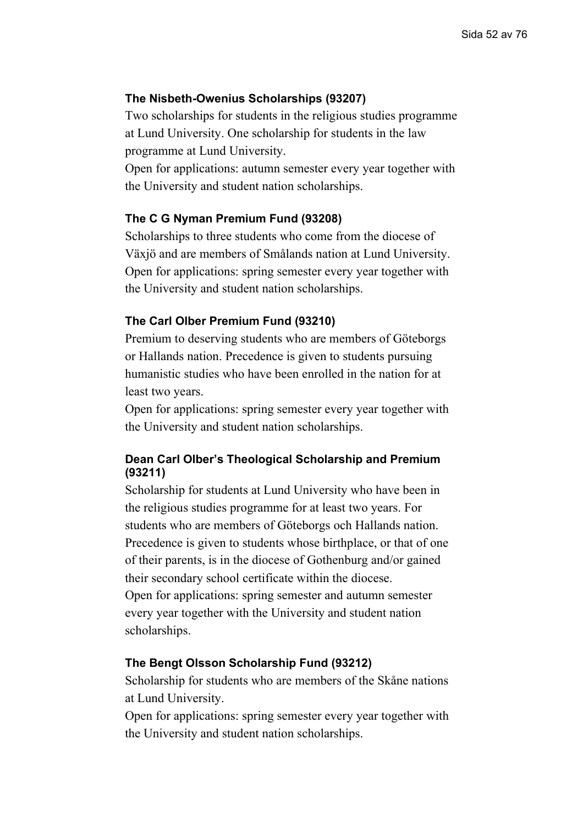## **The Nisbeth-Owenius Scholarships (93207)**

Two scholarships for students in the religious studies programme at Lund University. One scholarship for students in the law programme at Lund University.

Open for applications: autumn semester every year together with the University and student nation scholarships.

#### **The C G Nyman Premium Fund (93208)**

Scholarships to three students who come from the diocese of Växjö and are members of Smålands nation at Lund University. Open for applications: spring semester every year together with the University and student nation scholarships.

### **The Carl Olber Premium Fund (93210)**

Premium to deserving students who are members of Göteborgs or Hallands nation. Precedence is given to students pursuing humanistic studies who have been enrolled in the nation for at least two years.

Open for applications: spring semester every year together with the University and student nation scholarships.

# **Dean Carl Olber's Theological Scholarship and Premium (93211)**

Scholarship for students at Lund University who have been in the religious studies programme for at least two years. For students who are members of Göteborgs och Hallands nation. Precedence is given to students whose birthplace, or that of one of their parents, is in the diocese of Gothenburg and/or gained their secondary school certificate within the diocese. Open for applications: spring semester and autumn semester every year together with the University and student nation scholarships.

#### **The Bengt Olsson Scholarship Fund (93212)**

Scholarship for students who are members of the Skåne nations at Lund University.

Open for applications: spring semester every year together with the University and student nation scholarships.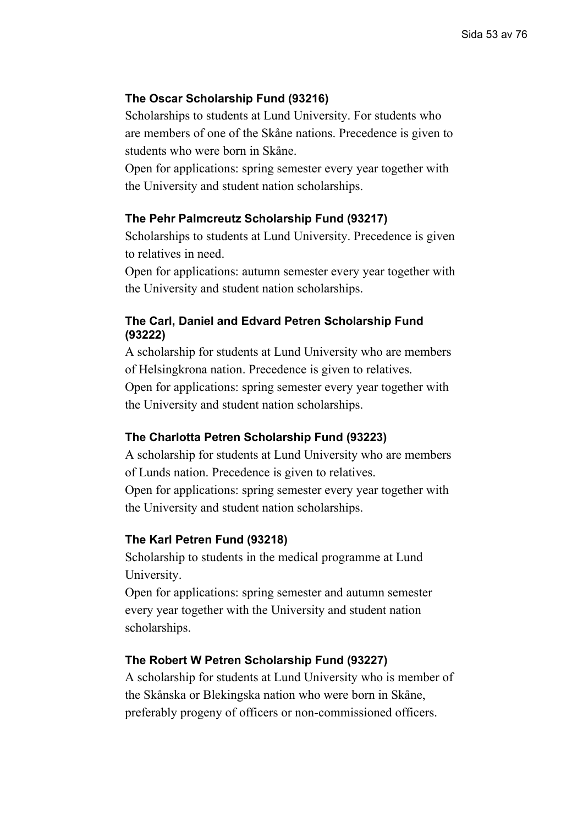# **The Oscar Scholarship Fund (93216)**

Scholarships to students at Lund University. For students who are members of one of the Skåne nations. Precedence is given to students who were born in Skåne.

Open for applications: spring semester every year together with the University and student nation scholarships.

### **The Pehr Palmcreutz Scholarship Fund (93217)**

Scholarships to students at Lund University. Precedence is given to relatives in need.

Open for applications: autumn semester every year together with the University and student nation scholarships.

# **The Carl, Daniel and Edvard Petren Scholarship Fund (93222)**

A scholarship for students at Lund University who are members of Helsingkrona nation. Precedence is given to relatives. Open for applications: spring semester every year together with the University and student nation scholarships.

# **The Charlotta Petren Scholarship Fund (93223)**

A scholarship for students at Lund University who are members of Lunds nation. Precedence is given to relatives. Open for applications: spring semester every year together with the University and student nation scholarships.

#### **The Karl Petren Fund (93218)**

Scholarship to students in the medical programme at Lund University.

Open for applications: spring semester and autumn semester every year together with the University and student nation scholarships.

# **The Robert W Petren Scholarship Fund (93227)**

A scholarship for students at Lund University who is member of the Skånska or Blekingska nation who were born in Skåne, preferably progeny of officers or non-commissioned officers.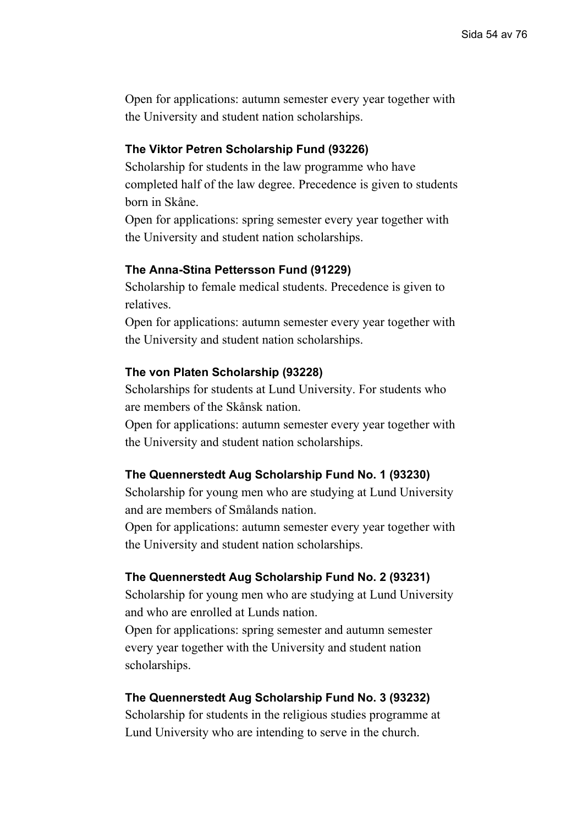# **The Viktor Petren Scholarship Fund (93226)**

Scholarship for students in the law programme who have completed half of the law degree. Precedence is given to students born in Skåne.

Open for applications: spring semester every year together with the University and student nation scholarships.

### **The Anna-Stina Pettersson Fund (91229)**

Scholarship to female medical students. Precedence is given to relatives.

Open for applications: autumn semester every year together with the University and student nation scholarships.

### **The von Platen Scholarship (93228)**

Scholarships for students at Lund University. For students who are members of the Skånsk nation.

Open for applications: autumn semester every year together with the University and student nation scholarships.

#### **The Quennerstedt Aug Scholarship Fund No. 1 (93230)**

Scholarship for young men who are studying at Lund University and are members of Smålands nation.

Open for applications: autumn semester every year together with the University and student nation scholarships.

#### **The Quennerstedt Aug Scholarship Fund No. 2 (93231)**

Scholarship for young men who are studying at Lund University and who are enrolled at Lunds nation.

Open for applications: spring semester and autumn semester every year together with the University and student nation scholarships.

#### **The Quennerstedt Aug Scholarship Fund No. 3 (93232)**

Scholarship for students in the religious studies programme at Lund University who are intending to serve in the church.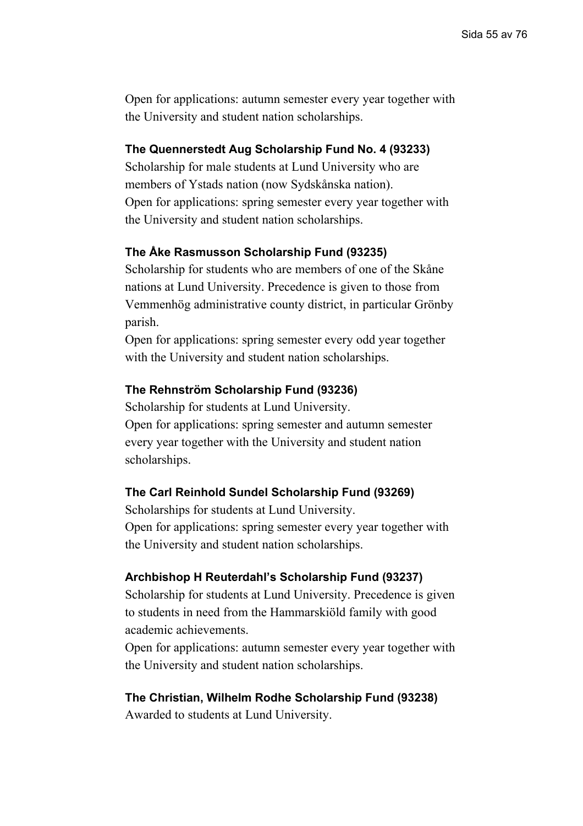## **The Quennerstedt Aug Scholarship Fund No. 4 (93233)**

Scholarship for male students at Lund University who are members of Ystads nation (now Sydskånska nation). Open for applications: spring semester every year together with the University and student nation scholarships.

### **The Åke Rasmusson Scholarship Fund (93235)**

Scholarship for students who are members of one of the Skåne nations at Lund University. Precedence is given to those from Vemmenhög administrative county district, in particular Grönby parish.

Open for applications: spring semester every odd year together with the University and student nation scholarships.

### **The Rehnström Scholarship Fund (93236)**

Scholarship for students at Lund University. Open for applications: spring semester and autumn semester every year together with the University and student nation scholarships.

#### **The Carl Reinhold Sundel Scholarship Fund (93269)**

Scholarships for students at Lund University. Open for applications: spring semester every year together with the University and student nation scholarships.

#### **Archbishop H Reuterdahl's Scholarship Fund (93237)**

Scholarship for students at Lund University. Precedence is given to students in need from the Hammarskiöld family with good academic achievements.

Open for applications: autumn semester every year together with the University and student nation scholarships.

#### **The Christian, Wilhelm Rodhe Scholarship Fund (93238)**

Awarded to students at Lund University.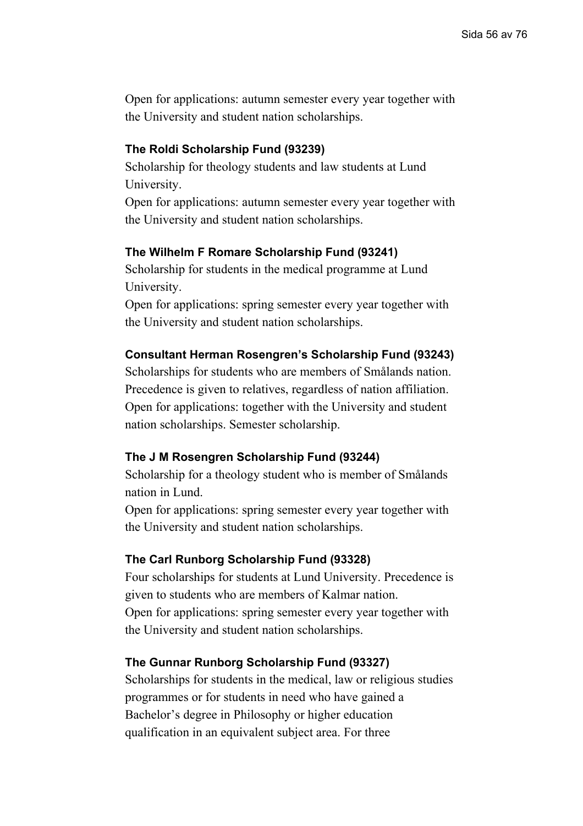# **The Roldi Scholarship Fund (93239)**

Scholarship for theology students and law students at Lund University.

Open for applications: autumn semester every year together with the University and student nation scholarships.

# **The Wilhelm F Romare Scholarship Fund (93241)**

Scholarship for students in the medical programme at Lund University.

Open for applications: spring semester every year together with the University and student nation scholarships.

# **Consultant Herman Rosengren's Scholarship Fund (93243)**

Scholarships for students who are members of Smålands nation. Precedence is given to relatives, regardless of nation affiliation. Open for applications: together with the University and student nation scholarships. Semester scholarship.

# **The J M Rosengren Scholarship Fund (93244)**

Scholarship for a theology student who is member of Smålands nation in Lund.

Open for applications: spring semester every year together with the University and student nation scholarships.

#### **The Carl Runborg Scholarship Fund (93328)**

Four scholarships for students at Lund University. Precedence is given to students who are members of Kalmar nation. Open for applications: spring semester every year together with the University and student nation scholarships.

# **The Gunnar Runborg Scholarship Fund (93327)**

Scholarships for students in the medical, law or religious studies programmes or for students in need who have gained a Bachelor's degree in Philosophy or higher education qualification in an equivalent subject area. For three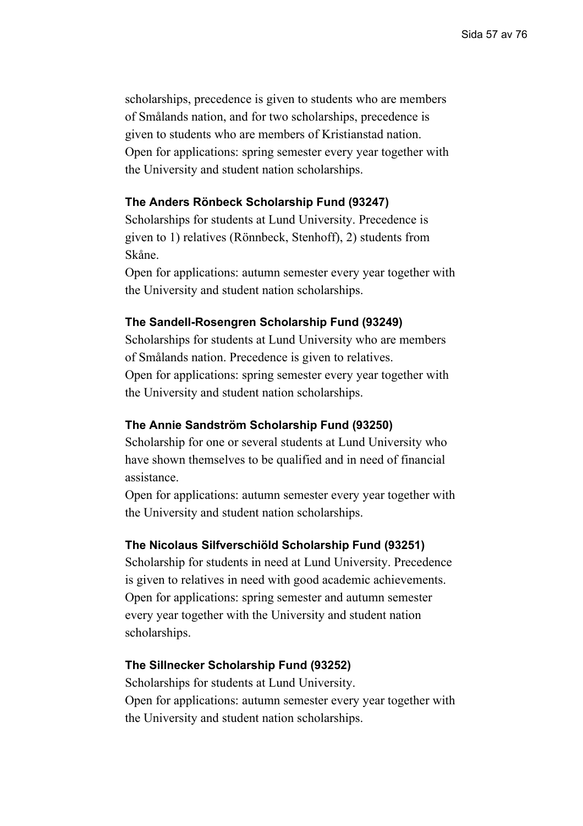scholarships, precedence is given to students who are members of Smålands nation, and for two scholarships, precedence is given to students who are members of Kristianstad nation. Open for applications: spring semester every year together with the University and student nation scholarships.

# **The Anders Rönbeck Scholarship Fund (93247)**

Scholarships for students at Lund University. Precedence is given to 1) relatives (Rönnbeck, Stenhoff), 2) students from Skåne.

Open for applications: autumn semester every year together with the University and student nation scholarships.

#### **The Sandell-Rosengren Scholarship Fund (93249)**

Scholarships for students at Lund University who are members of Smålands nation. Precedence is given to relatives. Open for applications: spring semester every year together with the University and student nation scholarships.

### **The Annie Sandström Scholarship Fund (93250)**

Scholarship for one or several students at Lund University who have shown themselves to be qualified and in need of financial assistance.

Open for applications: autumn semester every year together with the University and student nation scholarships.

## **The Nicolaus Silfverschiöld Scholarship Fund (93251)**

Scholarship for students in need at Lund University. Precedence is given to relatives in need with good academic achievements. Open for applications: spring semester and autumn semester every year together with the University and student nation scholarships.

#### **The Sillnecker Scholarship Fund (93252)**

Scholarships for students at Lund University. Open for applications: autumn semester every year together with the University and student nation scholarships.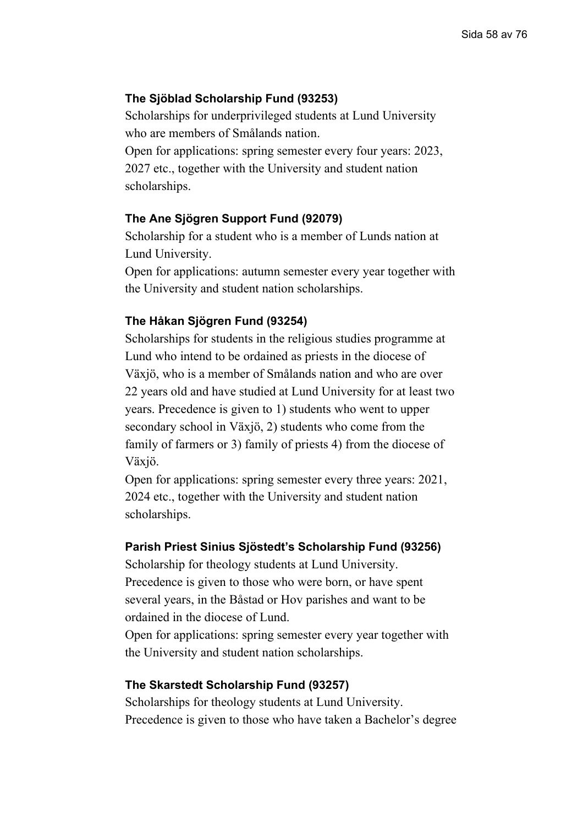## **The Sjöblad Scholarship Fund (93253)**

Scholarships for underprivileged students at Lund University who are members of Smålands nation.

Open for applications: spring semester every four years: 2023, 2027 etc., together with the University and student nation scholarships.

### **The Ane Sjögren Support Fund (92079)**

Scholarship for a student who is a member of Lunds nation at Lund University.

Open for applications: autumn semester every year together with the University and student nation scholarships.

#### **The Håkan Sjögren Fund (93254)**

Scholarships for students in the religious studies programme at Lund who intend to be ordained as priests in the diocese of Växjö, who is a member of Smålands nation and who are over 22 years old and have studied at Lund University for at least two years. Precedence is given to 1) students who went to upper secondary school in Växjö, 2) students who come from the family of farmers or 3) family of priests 4) from the diocese of Växjö.

Open for applications: spring semester every three years: 2021, 2024 etc., together with the University and student nation scholarships.

#### **Parish Priest Sinius Sjöstedt's Scholarship Fund (93256)**

Scholarship for theology students at Lund University. Precedence is given to those who were born, or have spent several years, in the Båstad or Hov parishes and want to be ordained in the diocese of Lund.

Open for applications: spring semester every year together with the University and student nation scholarships.

### **The Skarstedt Scholarship Fund (93257)**

Scholarships for theology students at Lund University. Precedence is given to those who have taken a Bachelor's degree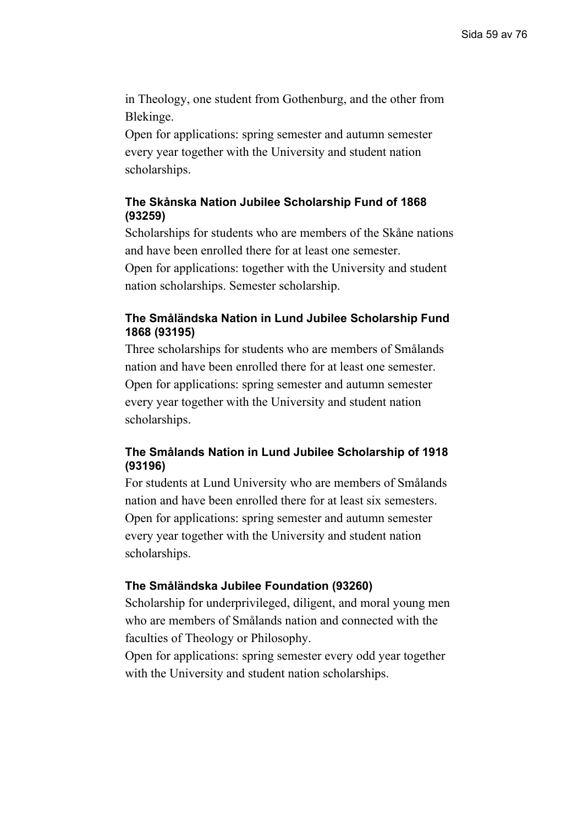in Theology, one student from Gothenburg, and the other from Blekinge.

Open for applications: spring semester and autumn semester every year together with the University and student nation scholarships.

# **The Skånska Nation Jubilee Scholarship Fund of 1868 (93259)**

Scholarships for students who are members of the Skåne nations and have been enrolled there for at least one semester. Open for applications: together with the University and student

nation scholarships. Semester scholarship.

# **The Småländska Nation in Lund Jubilee Scholarship Fund 1868 (93195)**

Three scholarships for students who are members of Smålands nation and have been enrolled there for at least one semester. Open for applications: spring semester and autumn semester every year together with the University and student nation scholarships.

# **The Smålands Nation in Lund Jubilee Scholarship of 1918 (93196)**

For students at Lund University who are members of Smålands nation and have been enrolled there for at least six semesters. Open for applications: spring semester and autumn semester every year together with the University and student nation scholarships.

# **The Småländska Jubilee Foundation (93260)**

Scholarship for underprivileged, diligent, and moral young men who are members of Smålands nation and connected with the faculties of Theology or Philosophy.

Open for applications: spring semester every odd year together with the University and student nation scholarships.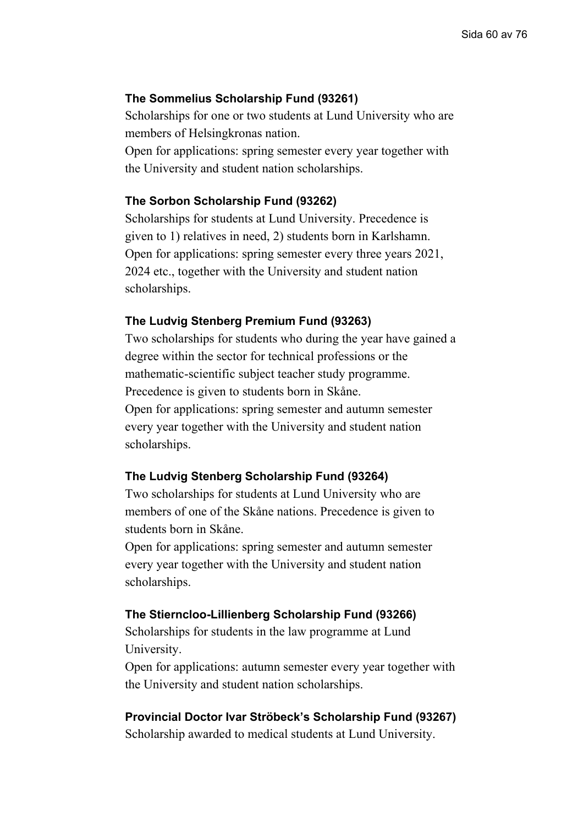### **The Sommelius Scholarship Fund (93261)**

Scholarships for one or two students at Lund University who are members of Helsingkronas nation.

Open for applications: spring semester every year together with the University and student nation scholarships.

### **The Sorbon Scholarship Fund (93262)**

Scholarships for students at Lund University. Precedence is given to 1) relatives in need, 2) students born in Karlshamn. Open for applications: spring semester every three years 2021, 2024 etc., together with the University and student nation scholarships.

#### **The Ludvig Stenberg Premium Fund (93263)**

Two scholarships for students who during the year have gained a degree within the sector for technical professions or the mathematic-scientific subject teacher study programme. Precedence is given to students born in Skåne. Open for applications: spring semester and autumn semester every year together with the University and student nation scholarships.

### **The Ludvig Stenberg Scholarship Fund (93264)**

Two scholarships for students at Lund University who are members of one of the Skåne nations. Precedence is given to students born in Skåne.

Open for applications: spring semester and autumn semester every year together with the University and student nation scholarships.

#### **The Stierncloo-Lillienberg Scholarship Fund (93266)**

Scholarships for students in the law programme at Lund University.

Open for applications: autumn semester every year together with the University and student nation scholarships.

## **Provincial Doctor Ivar Ströbeck's Scholarship Fund (93267)**

Scholarship awarded to medical students at Lund University.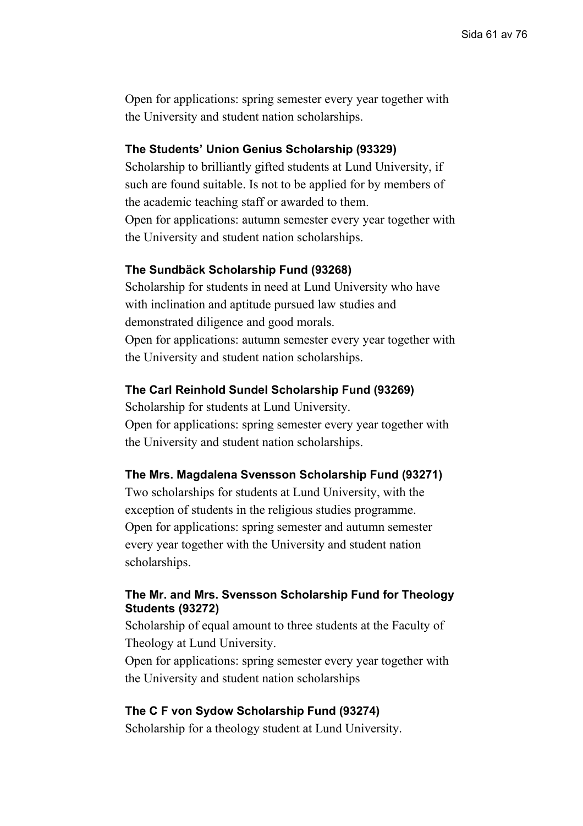# **The Students' Union Genius Scholarship (93329)**

Scholarship to brilliantly gifted students at Lund University, if such are found suitable. Is not to be applied for by members of the academic teaching staff or awarded to them. Open for applications: autumn semester every year together with the University and student nation scholarships.

### **The Sundbäck Scholarship Fund (93268)**

Scholarship for students in need at Lund University who have with inclination and aptitude pursued law studies and demonstrated diligence and good morals. Open for applications: autumn semester every year together with the University and student nation scholarships.

#### **The Carl Reinhold Sundel Scholarship Fund (93269)**

Scholarship for students at Lund University. Open for applications: spring semester every year together with the University and student nation scholarships.

#### **The Mrs. Magdalena Svensson Scholarship Fund (93271)**

Two scholarships for students at Lund University, with the exception of students in the religious studies programme. Open for applications: spring semester and autumn semester every year together with the University and student nation scholarships.

# **The Mr. and Mrs. Svensson Scholarship Fund for Theology Students (93272)**

Scholarship of equal amount to three students at the Faculty of Theology at Lund University.

Open for applications: spring semester every year together with the University and student nation scholarships

#### **The C F von Sydow Scholarship Fund (93274)**

Scholarship for a theology student at Lund University.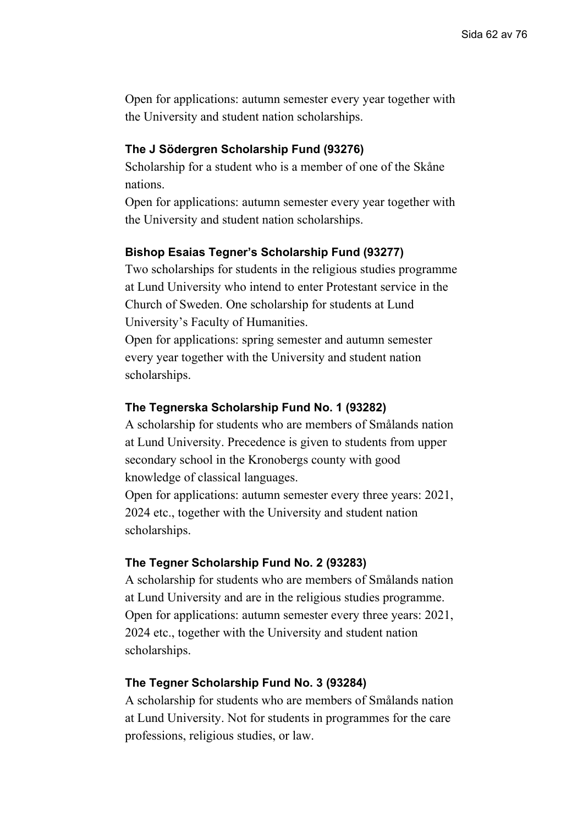# **The J Södergren Scholarship Fund (93276)**

Scholarship for a student who is a member of one of the Skåne nations.

Open for applications: autumn semester every year together with the University and student nation scholarships.

# **Bishop Esaias Tegner's Scholarship Fund (93277)**

Two scholarships for students in the religious studies programme at Lund University who intend to enter Protestant service in the Church of Sweden. One scholarship for students at Lund University's Faculty of Humanities.

Open for applications: spring semester and autumn semester every year together with the University and student nation scholarships.

### **The Tegnerska Scholarship Fund No. 1 (93282)**

A scholarship for students who are members of Smålands nation at Lund University. Precedence is given to students from upper secondary school in the Kronobergs county with good knowledge of classical languages.

Open for applications: autumn semester every three years: 2021, 2024 etc., together with the University and student nation scholarships.

### **The Tegner Scholarship Fund No. 2 (93283)**

A scholarship for students who are members of Smålands nation at Lund University and are in the religious studies programme. Open for applications: autumn semester every three years: 2021, 2024 etc., together with the University and student nation scholarships.

#### **The Tegner Scholarship Fund No. 3 (93284)**

A scholarship for students who are members of Smålands nation at Lund University. Not for students in programmes for the care professions, religious studies, or law.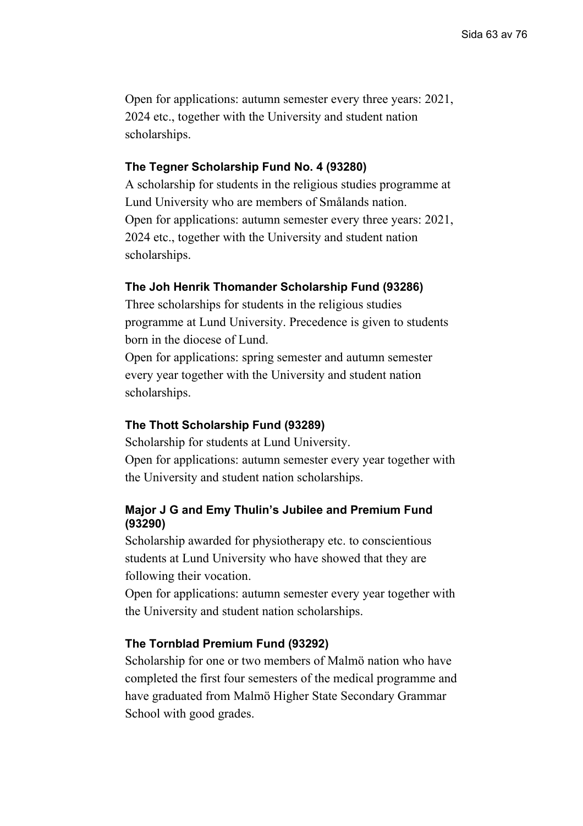Open for applications: autumn semester every three years: 2021, 2024 etc., together with the University and student nation scholarships.

# **The Tegner Scholarship Fund No. 4 (93280)**

A scholarship for students in the religious studies programme at Lund University who are members of Smålands nation. Open for applications: autumn semester every three years: 2021, 2024 etc., together with the University and student nation scholarships.

# **The Joh Henrik Thomander Scholarship Fund (93286)**

Three scholarships for students in the religious studies programme at Lund University. Precedence is given to students born in the diocese of Lund.

Open for applications: spring semester and autumn semester every year together with the University and student nation scholarships.

# **The Thott Scholarship Fund (93289)**

Scholarship for students at Lund University. Open for applications: autumn semester every year together with the University and student nation scholarships.

# **Major J G and Emy Thulin's Jubilee and Premium Fund (93290)**

Scholarship awarded for physiotherapy etc. to conscientious students at Lund University who have showed that they are following their vocation.

Open for applications: autumn semester every year together with the University and student nation scholarships.

# **The Tornblad Premium Fund (93292)**

Scholarship for one or two members of Malmö nation who have completed the first four semesters of the medical programme and have graduated from Malmö Higher State Secondary Grammar School with good grades.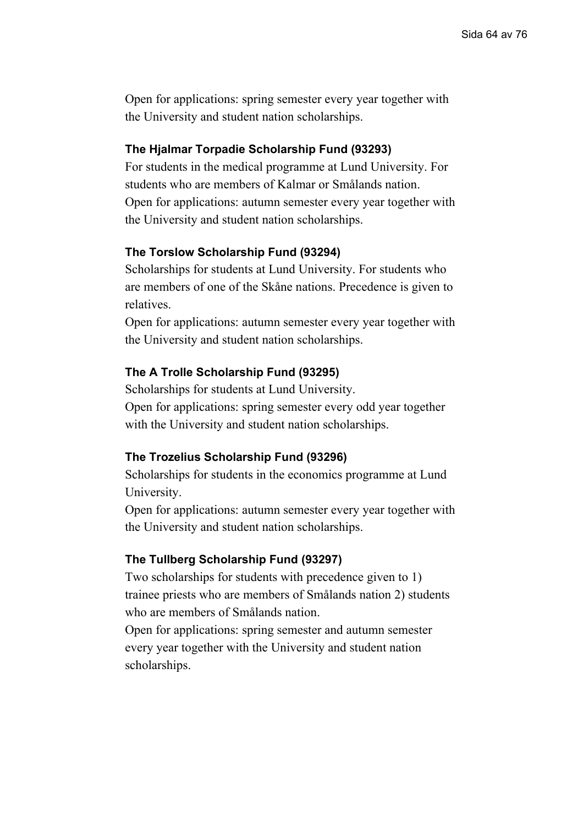# **The Hjalmar Torpadie Scholarship Fund (93293)**

For students in the medical programme at Lund University. For students who are members of Kalmar or Smålands nation. Open for applications: autumn semester every year together with the University and student nation scholarships.

# **The Torslow Scholarship Fund (93294)**

Scholarships for students at Lund University. For students who are members of one of the Skåne nations. Precedence is given to relatives.

Open for applications: autumn semester every year together with the University and student nation scholarships.

### **The A Trolle Scholarship Fund (93295)**

Scholarships for students at Lund University. Open for applications: spring semester every odd year together with the University and student nation scholarships.

### **The Trozelius Scholarship Fund (93296)**

Scholarships for students in the economics programme at Lund University.

Open for applications: autumn semester every year together with the University and student nation scholarships.

### **The Tullberg Scholarship Fund (93297)**

Two scholarships for students with precedence given to 1) trainee priests who are members of Smålands nation 2) students who are members of Smålands nation.

Open for applications: spring semester and autumn semester every year together with the University and student nation scholarships.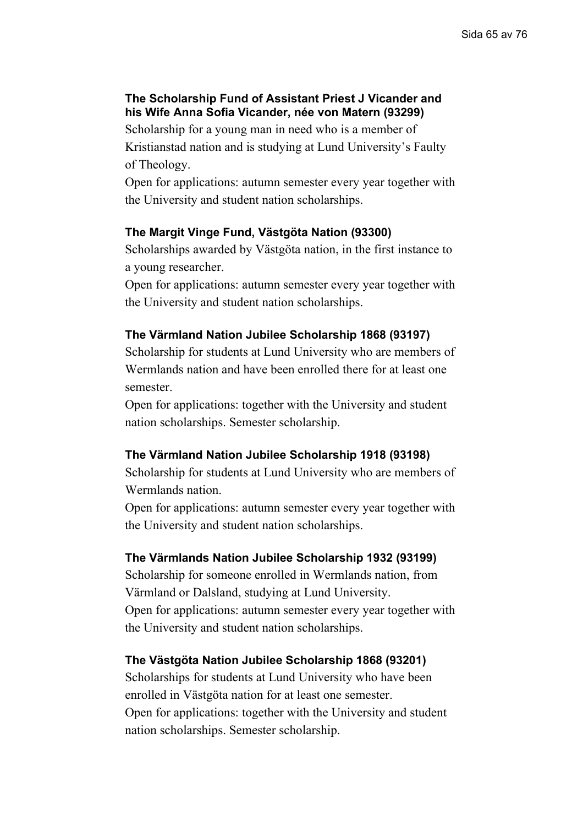# **The Scholarship Fund of Assistant Priest J Vicander and his Wife Anna Sofia Vicander, née von Matern (93299)**

Scholarship for a young man in need who is a member of Kristianstad nation and is studying at Lund University's Faulty of Theology.

Open for applications: autumn semester every year together with the University and student nation scholarships.

# **The Margit Vinge Fund, Västgöta Nation (93300)**

Scholarships awarded by Västgöta nation, in the first instance to a young researcher.

Open for applications: autumn semester every year together with the University and student nation scholarships.

# **The Värmland Nation Jubilee Scholarship 1868 (93197)**

Scholarship for students at Lund University who are members of Wermlands nation and have been enrolled there for at least one semester.

Open for applications: together with the University and student nation scholarships. Semester scholarship.

# **The Värmland Nation Jubilee Scholarship 1918 (93198)**

Scholarship for students at Lund University who are members of Wermlands nation.

Open for applications: autumn semester every year together with the University and student nation scholarships.

# **The Värmlands Nation Jubilee Scholarship 1932 (93199)**

Scholarship for someone enrolled in Wermlands nation, from Värmland or Dalsland, studying at Lund University. Open for applications: autumn semester every year together with the University and student nation scholarships.

# **The Västgöta Nation Jubilee Scholarship 1868 (93201)**

Scholarships for students at Lund University who have been enrolled in Västgöta nation for at least one semester. Open for applications: together with the University and student nation scholarships. Semester scholarship.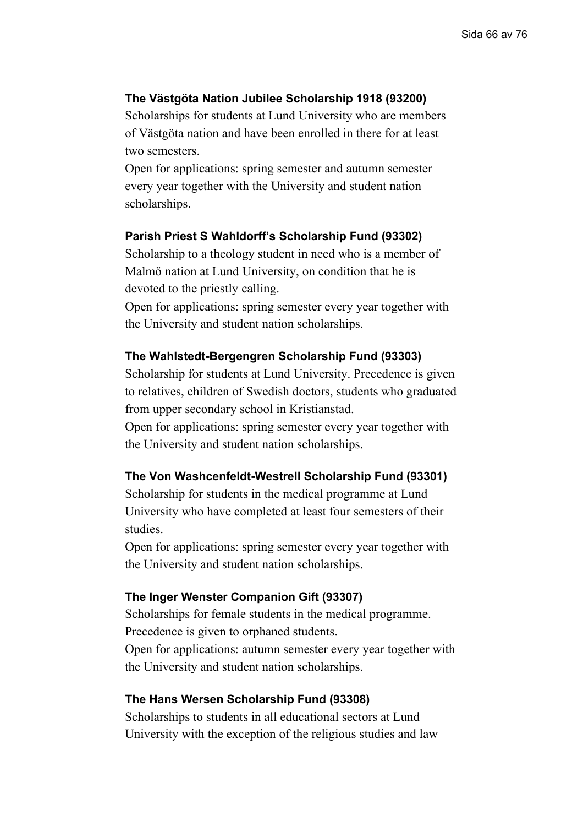## **The Västgöta Nation Jubilee Scholarship 1918 (93200)**

Scholarships for students at Lund University who are members of Västgöta nation and have been enrolled in there for at least two semesters.

Open for applications: spring semester and autumn semester every year together with the University and student nation scholarships.

### **Parish Priest S Wahldorff's Scholarship Fund (93302)**

Scholarship to a theology student in need who is a member of Malmö nation at Lund University, on condition that he is devoted to the priestly calling.

Open for applications: spring semester every year together with the University and student nation scholarships.

#### **The Wahlstedt-Bergengren Scholarship Fund (93303)**

Scholarship for students at Lund University. Precedence is given to relatives, children of Swedish doctors, students who graduated from upper secondary school in Kristianstad.

Open for applications: spring semester every year together with the University and student nation scholarships.

### **The Von Washcenfeldt-Westrell Scholarship Fund (93301)**

Scholarship for students in the medical programme at Lund University who have completed at least four semesters of their studies.

Open for applications: spring semester every year together with the University and student nation scholarships.

#### **The Inger Wenster Companion Gift (93307)**

Scholarships for female students in the medical programme. Precedence is given to orphaned students. Open for applications: autumn semester every year together with the University and student nation scholarships.

#### **The Hans Wersen Scholarship Fund (93308)**

Scholarships to students in all educational sectors at Lund University with the exception of the religious studies and law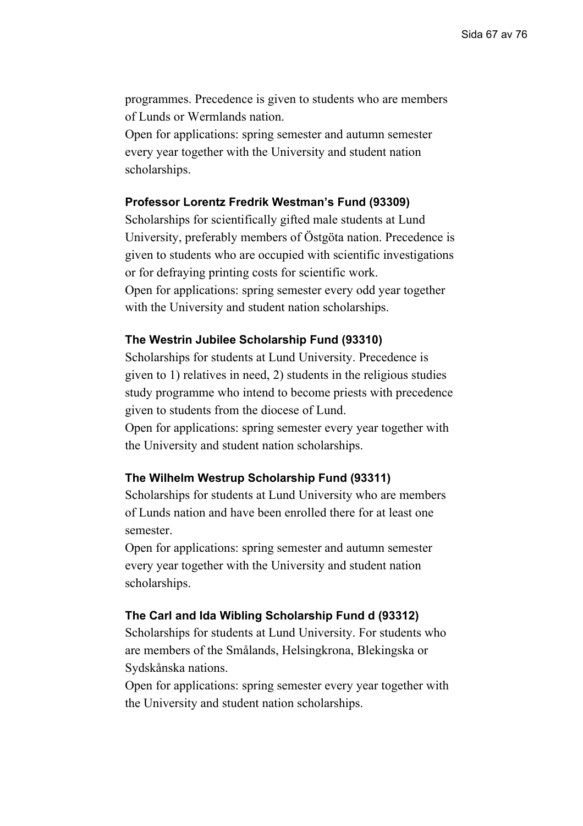programmes. Precedence is given to students who are members of Lunds or Wermlands nation.

Open for applications: spring semester and autumn semester every year together with the University and student nation scholarships.

### **Professor Lorentz Fredrik Westman's Fund (93309)**

Scholarships for scientifically gifted male students at Lund University, preferably members of Östgöta nation. Precedence is given to students who are occupied with scientific investigations or for defraying printing costs for scientific work. Open for applications: spring semester every odd year together with the University and student nation scholarships.

### **The Westrin Jubilee Scholarship Fund (93310)**

Scholarships for students at Lund University. Precedence is given to 1) relatives in need, 2) students in the religious studies study programme who intend to become priests with precedence given to students from the diocese of Lund.

Open for applications: spring semester every year together with the University and student nation scholarships.

# **The Wilhelm Westrup Scholarship Fund (93311)**

Scholarships for students at Lund University who are members of Lunds nation and have been enrolled there for at least one semester.

Open for applications: spring semester and autumn semester every year together with the University and student nation scholarships.

#### **The Carl and Ida Wibling Scholarship Fund d (93312)**

Scholarships for students at Lund University. For students who are members of the Smålands, Helsingkrona, Blekingska or Sydskånska nations.

Open for applications: spring semester every year together with the University and student nation scholarships.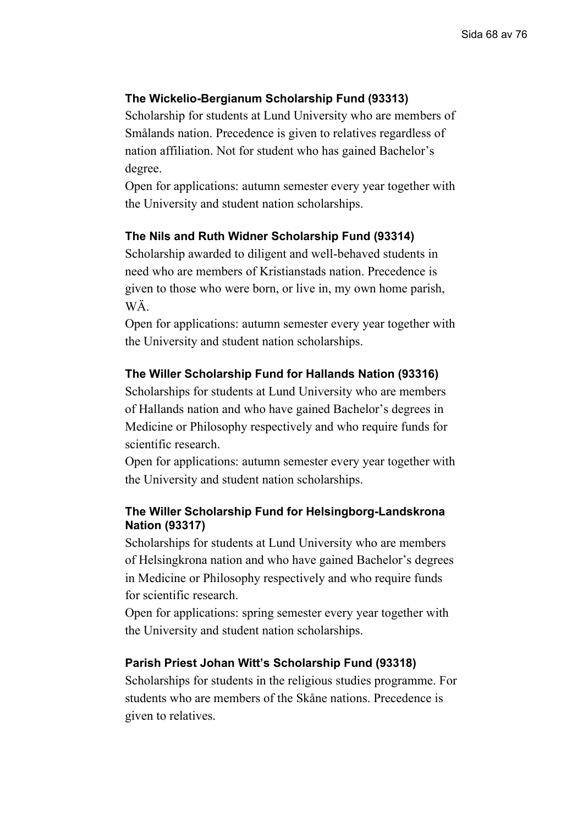# **The Wickelio-Bergianum Scholarship Fund (93313)**

Scholarship for students at Lund University who are members of Smålands nation. Precedence is given to relatives regardless of nation affiliation. Not for student who has gained Bachelor's degree.

Open for applications: autumn semester every year together with the University and student nation scholarships.

# **The Nils and Ruth Widner Scholarship Fund (93314)**

Scholarship awarded to diligent and well-behaved students in need who are members of Kristianstads nation. Precedence is given to those who were born, or live in, my own home parish, WÄ.

Open for applications: autumn semester every year together with the University and student nation scholarships.

### **The Willer Scholarship Fund for Hallands Nation (93316)**

Scholarships for students at Lund University who are members of Hallands nation and who have gained Bachelor's degrees in Medicine or Philosophy respectively and who require funds for scientific research.

Open for applications: autumn semester every year together with the University and student nation scholarships.

# **The Willer Scholarship Fund for Helsingborg-Landskrona Nation (93317)**

Scholarships for students at Lund University who are members of Helsingkrona nation and who have gained Bachelor's degrees in Medicine or Philosophy respectively and who require funds for scientific research.

Open for applications: spring semester every year together with the University and student nation scholarships.

#### **Parish Priest Johan Witt's Scholarship Fund (93318)**

Scholarships for students in the religious studies programme. For students who are members of the Skåne nations. Precedence is given to relatives.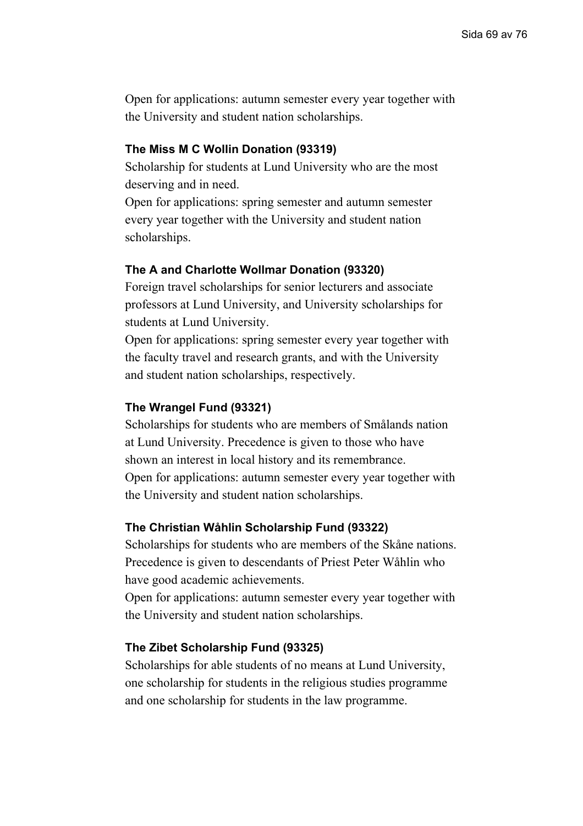### **The Miss M C Wollin Donation (93319)**

Scholarship for students at Lund University who are the most deserving and in need.

Open for applications: spring semester and autumn semester every year together with the University and student nation scholarships.

#### **The A and Charlotte Wollmar Donation (93320)**

Foreign travel scholarships for senior lecturers and associate professors at Lund University, and University scholarships for students at Lund University.

Open for applications: spring semester every year together with the faculty travel and research grants, and with the University and student nation scholarships, respectively.

#### **The Wrangel Fund (93321)**

Scholarships for students who are members of Smålands nation at Lund University. Precedence is given to those who have shown an interest in local history and its remembrance. Open for applications: autumn semester every year together with the University and student nation scholarships.

#### **The Christian Wåhlin Scholarship Fund (93322)**

Scholarships for students who are members of the Skåne nations. Precedence is given to descendants of Priest Peter Wåhlin who have good academic achievements.

Open for applications: autumn semester every year together with the University and student nation scholarships.

#### **The Zibet Scholarship Fund (93325)**

Scholarships for able students of no means at Lund University, one scholarship for students in the religious studies programme and one scholarship for students in the law programme.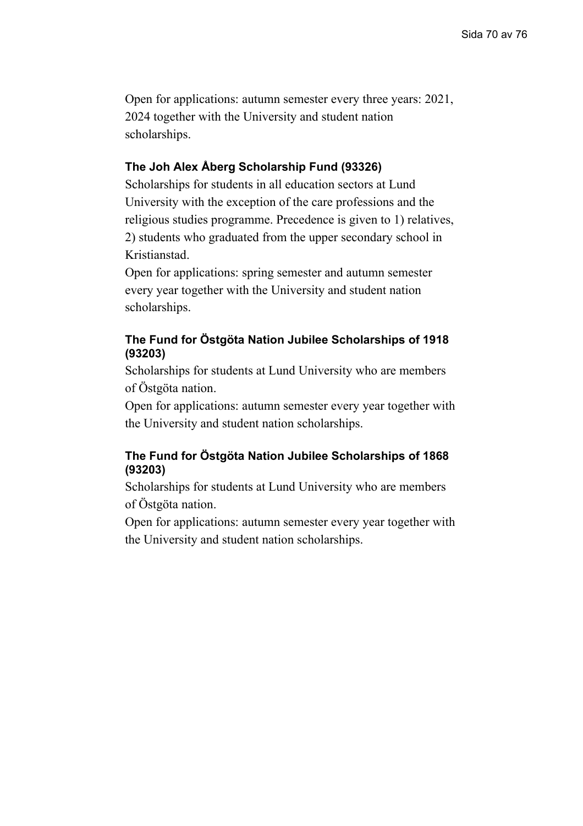# **The Joh Alex Åberg Scholarship Fund (93326)**

Scholarships for students in all education sectors at Lund University with the exception of the care professions and the religious studies programme. Precedence is given to 1) relatives, 2) students who graduated from the upper secondary school in Kristianstad.

Open for applications: spring semester and autumn semester every year together with the University and student nation scholarships.

# **The Fund for Östgöta Nation Jubilee Scholarships of 1918 (93203)**

Scholarships for students at Lund University who are members of Östgöta nation.

Open for applications: autumn semester every year together with the University and student nation scholarships.

# **The Fund for Östgöta Nation Jubilee Scholarships of 1868 (93203)**

Scholarships for students at Lund University who are members of Östgöta nation.

Open for applications: autumn semester every year together with the University and student nation scholarships.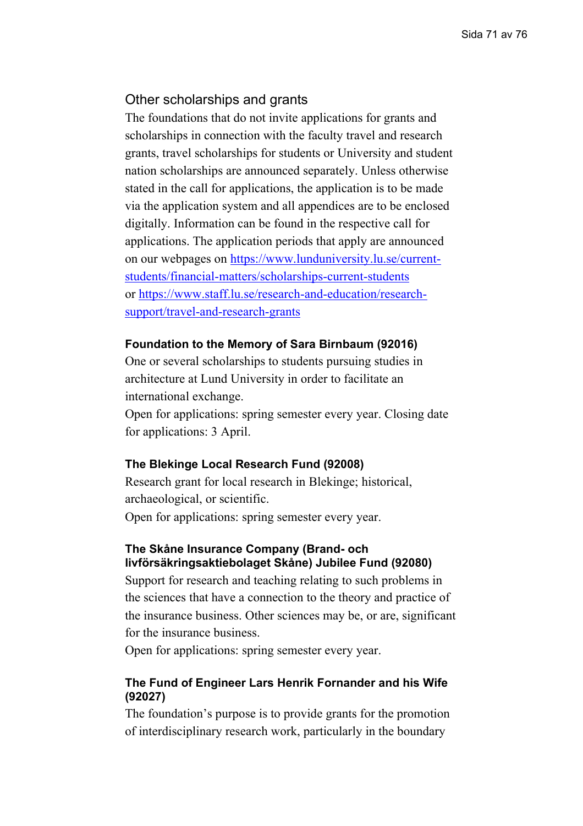# Other scholarships and grants

The foundations that do not invite applications for grants and scholarships in connection with the faculty travel and research grants, travel scholarships for students or University and student nation scholarships are announced separately. Unless otherwise stated in the call for applications, the application is to be made via the application system and all appendices are to be enclosed digitally. Information can be found in the respective call for applications. The application periods that apply are announced on our webpages on [https://www.lunduniversity.lu.se/current](https://www.lunduniversity.lu.se/current-students/financial-matters/scholarships-current-students)[students/financial-matters/scholarships-current-students](https://www.lunduniversity.lu.se/current-students/financial-matters/scholarships-current-students) or [https://www.staff.lu.se/research-and-education/research](https://www.staff.lu.se/research-and-education/research-support/travel-and-research-grants)[support/travel-and-research-grants](https://www.staff.lu.se/research-and-education/research-support/travel-and-research-grants)

#### **Foundation to the Memory of Sara Birnbaum (92016)**

One or several scholarships to students pursuing studies in architecture at Lund University in order to facilitate an international exchange.

Open for applications: spring semester every year. Closing date for applications: 3 April.

# **The Blekinge Local Research Fund (92008)**

Research grant for local research in Blekinge; historical, archaeological, or scientific. Open for applications: spring semester every year.

### **The Skåne Insurance Company (Brand- och livförsäkringsaktiebolaget Skåne) Jubilee Fund (92080)**

Support for research and teaching relating to such problems in the sciences that have a connection to the theory and practice of the insurance business. Other sciences may be, or are, significant for the insurance business.

Open for applications: spring semester every year.

# **The Fund of Engineer Lars Henrik Fornander and his Wife (92027)**

The foundation's purpose is to provide grants for the promotion of interdisciplinary research work, particularly in the boundary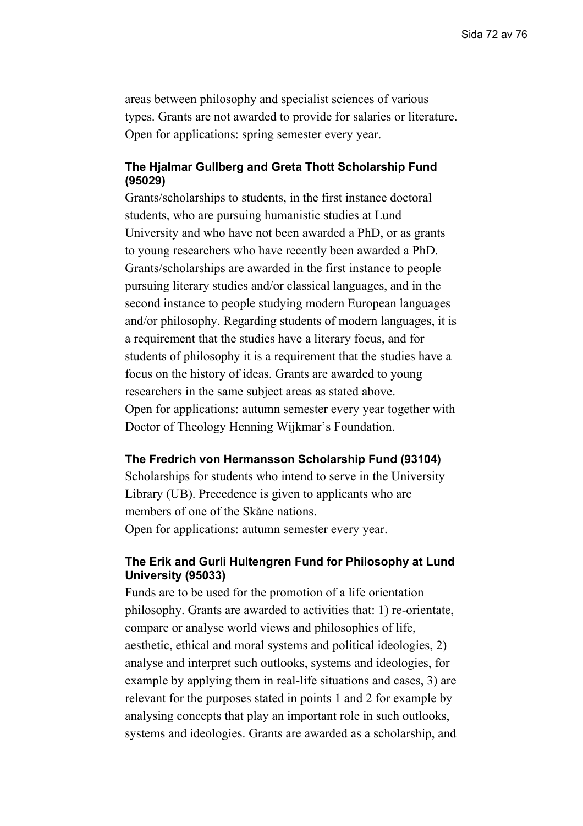areas between philosophy and specialist sciences of various types. Grants are not awarded to provide for salaries or literature. Open for applications: spring semester every year.

### **The Hjalmar Gullberg and Greta Thott Scholarship Fund (95029)**

Grants/scholarships to students, in the first instance doctoral students, who are pursuing humanistic studies at Lund University and who have not been awarded a PhD, or as grants to young researchers who have recently been awarded a PhD. Grants/scholarships are awarded in the first instance to people pursuing literary studies and/or classical languages, and in the second instance to people studying modern European languages and/or philosophy. Regarding students of modern languages, it is a requirement that the studies have a literary focus, and for students of philosophy it is a requirement that the studies have a focus on the history of ideas. Grants are awarded to young researchers in the same subject areas as stated above. Open for applications: autumn semester every year together with Doctor of Theology Henning Wijkmar's Foundation.

### **The Fredrich von Hermansson Scholarship Fund (93104)**

Scholarships for students who intend to serve in the University Library (UB). Precedence is given to applicants who are members of one of the Skåne nations. Open for applications: autumn semester every year.

### **The Erik and Gurli Hultengren Fund for Philosophy at Lund University (95033)**

Funds are to be used for the promotion of a life orientation philosophy. Grants are awarded to activities that: 1) re-orientate, compare or analyse world views and philosophies of life, aesthetic, ethical and moral systems and political ideologies, 2) analyse and interpret such outlooks, systems and ideologies, for example by applying them in real-life situations and cases, 3) are relevant for the purposes stated in points 1 and 2 for example by analysing concepts that play an important role in such outlooks, systems and ideologies. Grants are awarded as a scholarship, and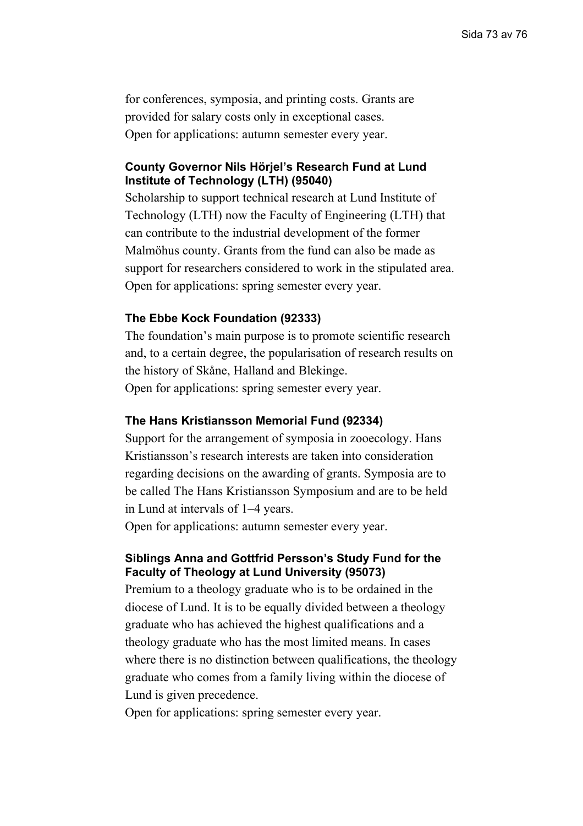for conferences, symposia, and printing costs. Grants are provided for salary costs only in exceptional cases. Open for applications: autumn semester every year.

### **County Governor Nils Hörjel's Research Fund at Lund Institute of Technology (LTH) (95040)**

Scholarship to support technical research at Lund Institute of Technology (LTH) now the Faculty of Engineering (LTH) that can contribute to the industrial development of the former Malmöhus county. Grants from the fund can also be made as support for researchers considered to work in the stipulated area. Open for applications: spring semester every year.

#### **The Ebbe Kock Foundation (92333)**

The foundation's main purpose is to promote scientific research and, to a certain degree, the popularisation of research results on the history of Skåne, Halland and Blekinge. Open for applications: spring semester every year.

#### **The Hans Kristiansson Memorial Fund (92334)**

Support for the arrangement of symposia in zooecology. Hans Kristiansson's research interests are taken into consideration regarding decisions on the awarding of grants. Symposia are to be called The Hans Kristiansson Symposium and are to be held in Lund at intervals of 1–4 years.

Open for applications: autumn semester every year.

### **Siblings Anna and Gottfrid Persson's Study Fund for the Faculty of Theology at Lund University (95073)**

Premium to a theology graduate who is to be ordained in the diocese of Lund. It is to be equally divided between a theology graduate who has achieved the highest qualifications and a theology graduate who has the most limited means. In cases where there is no distinction between qualifications, the theology graduate who comes from a family living within the diocese of Lund is given precedence.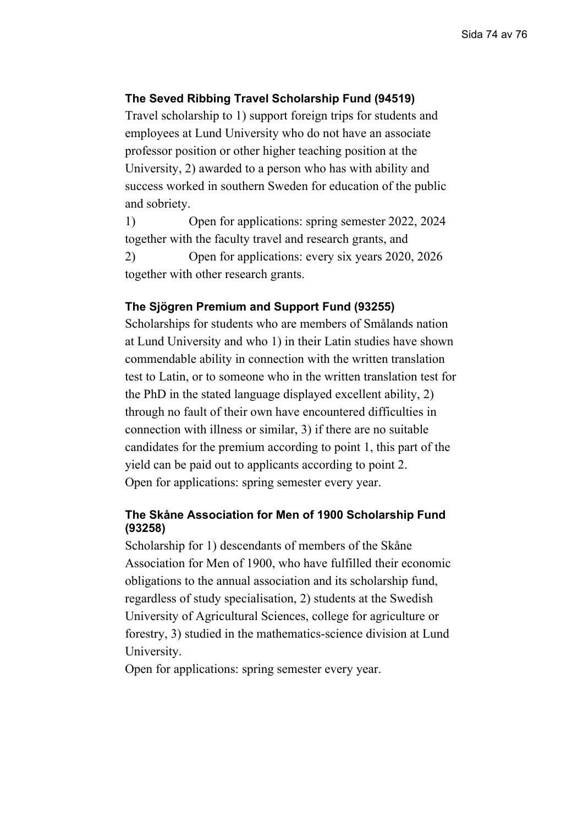### **The Seved Ribbing Travel Scholarship Fund (94519)**

Travel scholarship to 1) support foreign trips for students and employees at Lund University who do not have an associate professor position or other higher teaching position at the University, 2) awarded to a person who has with ability and success worked in southern Sweden for education of the public and sobriety.

1) Open for applications: spring semester 2022, 2024 together with the faculty travel and research grants, and

2) Open for applications: every six years 2020, 2026 together with other research grants.

## **The Sjögren Premium and Support Fund (93255)**

Scholarships for students who are members of Smålands nation at Lund University and who 1) in their Latin studies have shown commendable ability in connection with the written translation test to Latin, or to someone who in the written translation test for the PhD in the stated language displayed excellent ability, 2) through no fault of their own have encountered difficulties in connection with illness or similar, 3) if there are no suitable candidates for the premium according to point 1, this part of the yield can be paid out to applicants according to point 2. Open for applications: spring semester every year.

#### **The Skåne Association for Men of 1900 Scholarship Fund (93258)**

Scholarship for 1) descendants of members of the Skåne Association for Men of 1900, who have fulfilled their economic obligations to the annual association and its scholarship fund, regardless of study specialisation, 2) students at the Swedish University of Agricultural Sciences, college for agriculture or forestry, 3) studied in the mathematics-science division at Lund University.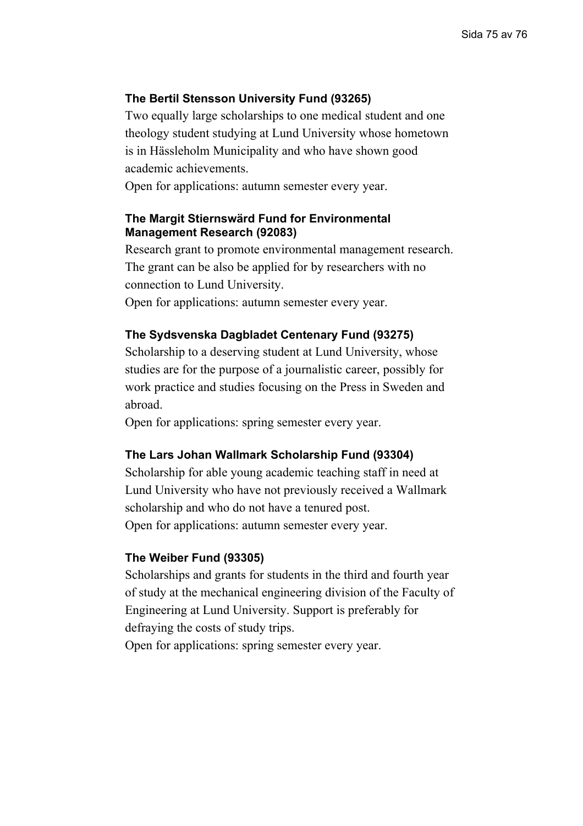## **The Bertil Stensson University Fund (93265)**

Two equally large scholarships to one medical student and one theology student studying at Lund University whose hometown is in Hässleholm Municipality and who have shown good academic achievements.

Open for applications: autumn semester every year.

### **The Margit Stiernswärd Fund for Environmental Management Research (92083)**

Research grant to promote environmental management research. The grant can be also be applied for by researchers with no connection to Lund University.

Open for applications: autumn semester every year.

#### **The Sydsvenska Dagbladet Centenary Fund (93275)**

Scholarship to a deserving student at Lund University, whose studies are for the purpose of a journalistic career, possibly for work practice and studies focusing on the Press in Sweden and abroad.

Open for applications: spring semester every year.

#### **The Lars Johan Wallmark Scholarship Fund (93304)**

Scholarship for able young academic teaching staff in need at Lund University who have not previously received a Wallmark scholarship and who do not have a tenured post. Open for applications: autumn semester every year.

#### **The Weiber Fund (93305)**

Scholarships and grants for students in the third and fourth year of study at the mechanical engineering division of the Faculty of Engineering at Lund University. Support is preferably for defraying the costs of study trips.